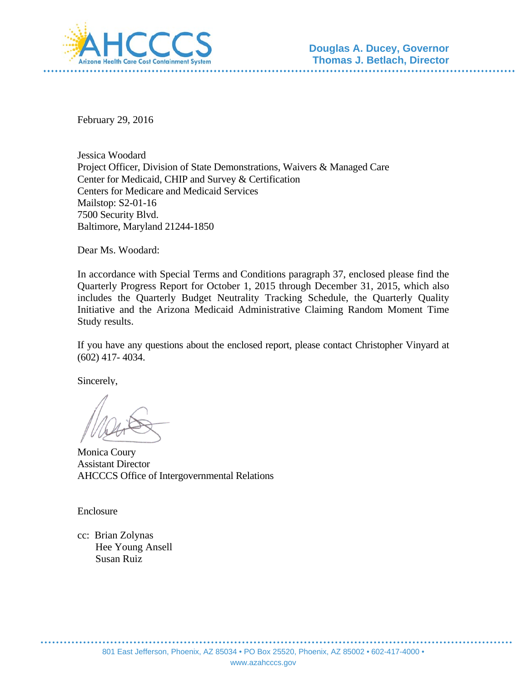

February 29, 2016

Jessica Woodard Project Officer, Division of State Demonstrations, Waivers & Managed Care Center for Medicaid, CHIP and Survey & Certification Centers for Medicare and Medicaid Services Mailstop: S2-01-16 7500 Security Blvd. Baltimore, Maryland 21244-1850

Dear Ms. Woodard:

In accordance with Special Terms and Conditions paragraph 37, enclosed please find the Quarterly Progress Report for October 1, 2015 through December 31, 2015, which also includes the Quarterly Budget Neutrality Tracking Schedule, the Quarterly Quality Initiative and the Arizona Medicaid Administrative Claiming Random Moment Time Study results.

If you have any questions about the enclosed report, please contact Christopher Vinyard at (602) 417- 4034.

Sincerely,

Monica Coury Assistant Director AHCCCS Office of Intergovernmental Relations

Enclosure

cc: Brian Zolynas Hee Young Ansell Susan Ruiz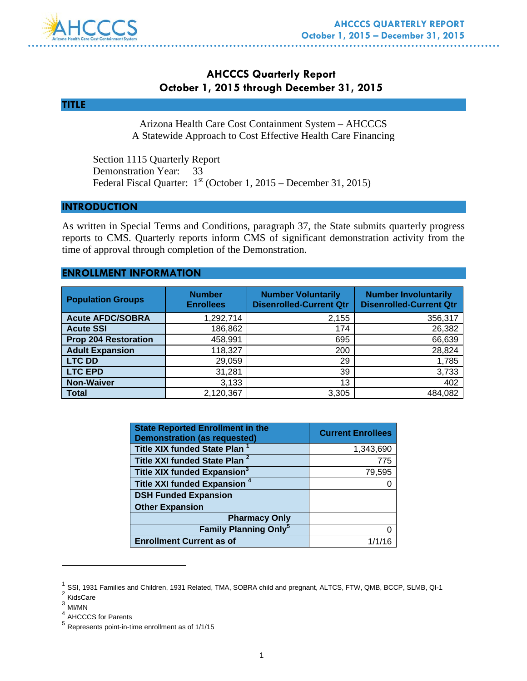

# **AHCCCS Quarterly Report October 1, 2015 through December 31, 2015**

#### **TITLE**

Arizona Health Care Cost Containment System – AHCCCS A Statewide Approach to Cost Effective Health Care Financing

 Section 1115 Quarterly Report Demonstration Year: 33 Federal Fiscal Quarter:  $1<sup>st</sup>$  (October 1, 2015 – December 31, 2015)

#### **INTRODUCTION**

As written in Special Terms and Conditions, paragraph 37, the State submits quarterly progress reports to CMS. Quarterly reports inform CMS of significant demonstration activity from the time of approval through completion of the Demonstration.

#### **ENROLLMENT INFORMATION**

| <b>Population Groups</b>    | <b>Number</b><br><b>Enrollees</b> | <b>Number Voluntarily</b><br><b>Disenrolled-Current Qtr</b> | <b>Number Involuntarily</b><br><b>Disenrolled-Current Qtr</b> |
|-----------------------------|-----------------------------------|-------------------------------------------------------------|---------------------------------------------------------------|
| <b>Acute AFDC/SOBRA</b>     | 1,292,714                         | 2,155                                                       | 356,317                                                       |
| <b>Acute SSI</b>            | 186,862                           | 174                                                         | 26,382                                                        |
| <b>Prop 204 Restoration</b> | 458,991                           | 695                                                         | 66,639                                                        |
| <b>Adult Expansion</b>      | 118,327                           | 200                                                         | 28,824                                                        |
| <b>LTC DD</b>               | 29,059                            | 29                                                          | 1,785                                                         |
| <b>LTC EPD</b>              | 31,281                            | 39                                                          | 3,733                                                         |
| <b>Non-Waiver</b>           | 3,133                             | 13                                                          | 402                                                           |
| <b>Total</b>                | 2,120,367                         | 3,305                                                       | 484,082                                                       |

| <b>State Reported Enrollment in the</b><br><b>Demonstration (as requested)</b> | <b>Current Enrollees</b> |
|--------------------------------------------------------------------------------|--------------------------|
| Title XIX funded State Plan <sup>1</sup>                                       | 1,343,690                |
| Title XXI funded State Plan <sup>2</sup>                                       | 775                      |
| Title XIX funded Expansion <sup>3</sup>                                        | 79,595                   |
| Title XXI funded Expansion <sup>4</sup>                                        |                          |
| <b>DSH Funded Expansion</b>                                                    |                          |
| <b>Other Expansion</b>                                                         |                          |
| <b>Pharmacy Only</b>                                                           |                          |
| <b>Family Planning Only<sup>5</sup></b>                                        | 0                        |
| <b>Enrollment Current as of</b>                                                | 1/1/16                   |

- <sup>2</sup> KidsCare
- $3$  MI/MN

 $\overline{a}$ 

 $<sup>1</sup>$  SSI, 1931 Families and Children, 1931 Related, TMA, SOBRA child and pregnant, ALTCS, FTW, QMB, BCCP, SLMB, QI-1</sup>

<sup>4</sup> AHCCCS for Parents

<sup>5</sup> Represents point-in-time enrollment as of 1/1/15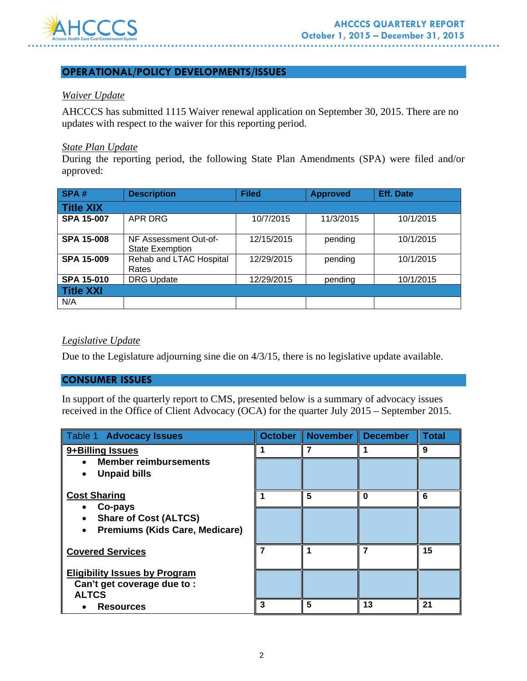

### **OPERATIONAL/POLICY DEVELOPMENTS/ISSUES**

#### *Waiver Update*

AHCCCS has submitted 1115 Waiver renewal application on September 30, 2015. There are no updates with respect to the waiver for this reporting period.

#### *State Plan Update*

During the reporting period, the following State Plan Amendments (SPA) were filed and/or approved:

| SPA#              | <b>Description</b>                              | <b>Filed</b> | <b>Approved</b> | <b>Eff. Date</b> |
|-------------------|-------------------------------------------------|--------------|-----------------|------------------|
| <b>Title XIX</b>  |                                                 |              |                 |                  |
| <b>SPA 15-007</b> | APR DRG                                         | 10/7/2015    | 11/3/2015       | 10/1/2015        |
| <b>SPA 15-008</b> | NF Assessment Out-of-<br><b>State Exemption</b> | 12/15/2015   | pending         | 10/1/2015        |
| <b>SPA 15-009</b> | Rehab and LTAC Hospital<br>Rates                | 12/29/2015   | pending         | 10/1/2015        |
| <b>SPA 15-010</b> | <b>DRG Update</b>                               | 12/29/2015   | pending         | 10/1/2015        |
| Title XXI         |                                                 |              |                 |                  |
| N/A               |                                                 |              |                 |                  |

#### *Legislative Update*

Due to the Legislature adjourning sine die on 4/3/15, there is no legislative update available.

### **CONSUMER ISSUES**

In support of the quarterly report to CMS, presented below is a summary of advocacy issues received in the Office of Client Advocacy (OCA) for the quarter July 2015 – September 2015.

| Table 1 Advocacy Issues                                                            | October | November December |    | <b>Total</b> |
|------------------------------------------------------------------------------------|---------|-------------------|----|--------------|
| 9+Billing Issues                                                                   |         |                   |    | 9            |
| <b>Member reimbursements</b><br><b>Unpaid bills</b>                                |         |                   |    |              |
|                                                                                    |         |                   |    |              |
| <b>Cost Sharing</b><br>Co-pays                                                     |         | 5                 | O  | 6            |
| <b>Share of Cost (ALTCS)</b><br><b>Premiums (Kids Care, Medicare)</b>              |         |                   |    |              |
| <b>Covered Services</b>                                                            |         |                   |    | 15           |
| <b>Eligibility Issues by Program</b><br>Can't get coverage due to:<br><b>ALTCS</b> |         |                   |    |              |
| <b>Resources</b>                                                                   | 3       | 5                 | 13 | 21           |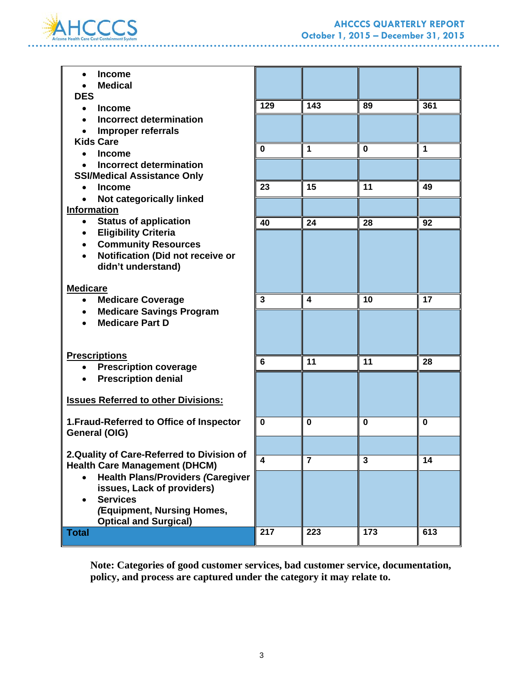

### **AHCCCS QUARTERLY REPORT October 1, 2015 – December 31, 2015**

**\*\*\*\*\*\*\*\*\*\*\*\*** 

. . . . . . . . . . . . . .

| <b>Income</b><br>$\bullet$                                           |                         |                  |          |             |
|----------------------------------------------------------------------|-------------------------|------------------|----------|-------------|
| <b>Medical</b>                                                       |                         |                  |          |             |
| <b>DES</b>                                                           | 129                     | 143              | 89       | 361         |
| <b>Income</b>                                                        |                         |                  |          |             |
| <b>Incorrect determination</b><br>$\bullet$                          |                         |                  |          |             |
| <b>Improper referrals</b><br>$\bullet$                               |                         |                  |          |             |
| <b>Kids Care</b>                                                     | $\mathbf 0$             | $\mathbf{1}$     | $\bf{0}$ | 1           |
| <b>Income</b><br>$\bullet$                                           |                         |                  |          |             |
| <b>Incorrect determination</b><br><b>SSI/Medical Assistance Only</b> |                         |                  |          |             |
| <b>Income</b><br>$\bullet$                                           | 23                      | 15               | 11       | 49          |
| Not categorically linked                                             |                         |                  |          |             |
| <b>Information</b>                                                   |                         |                  |          |             |
| <b>Status of application</b>                                         | 40                      | 24               | 28       | 92          |
| <b>Eligibility Criteria</b><br>$\bullet$                             |                         |                  |          |             |
| <b>Community Resources</b><br>$\bullet$                              |                         |                  |          |             |
| Notification (Did not receive or<br>$\bullet$                        |                         |                  |          |             |
| didn't understand)                                                   |                         |                  |          |             |
|                                                                      |                         |                  |          |             |
| <b>Medicare</b>                                                      |                         |                  |          |             |
| <b>Medicare Coverage</b><br>$\bullet$                                | $\overline{\mathbf{3}}$ | $\blacktriangle$ | 10       | 17          |
| <b>Medicare Savings Program</b><br>$\bullet$                         |                         |                  |          |             |
| <b>Medicare Part D</b>                                               |                         |                  |          |             |
|                                                                      |                         |                  |          |             |
|                                                                      |                         |                  |          |             |
| <b>Prescriptions</b>                                                 | 6                       | 11               | 11       | 28          |
| <b>Prescription coverage</b><br>$\bullet$                            |                         |                  |          |             |
| <b>Prescription denial</b><br>$\bullet$                              |                         |                  |          |             |
|                                                                      |                         |                  |          |             |
| <b>Issues Referred to other Divisions:</b>                           |                         |                  |          |             |
| 1. Fraud-Referred to Office of Inspector                             | 0                       | $\mathbf 0$      | $\bf{0}$ | $\mathbf 0$ |
| General (OIG)                                                        |                         |                  |          |             |
|                                                                      |                         |                  |          |             |
| 2. Quality of Care-Referred to Division of                           | 4                       |                  |          |             |
| <b>Health Care Management (DHCM)</b>                                 |                         | 7                | 3        | 14          |
| <b>Health Plans/Providers (Caregiver</b>                             |                         |                  |          |             |
| issues, Lack of providers)                                           |                         |                  |          |             |
| <b>Services</b>                                                      |                         |                  |          |             |
| (Equipment, Nursing Homes,                                           |                         |                  |          |             |
| <b>Optical and Surgical)</b>                                         |                         |                  |          |             |
| <b>Total</b>                                                         | $\overline{2}17$        | 223              | 173      | 613         |

. . . . . . . .

. . . . . . . . . .

**Note: Categories of good customer services, bad customer service, documentation, policy, and process are captured under the category it may relate to.**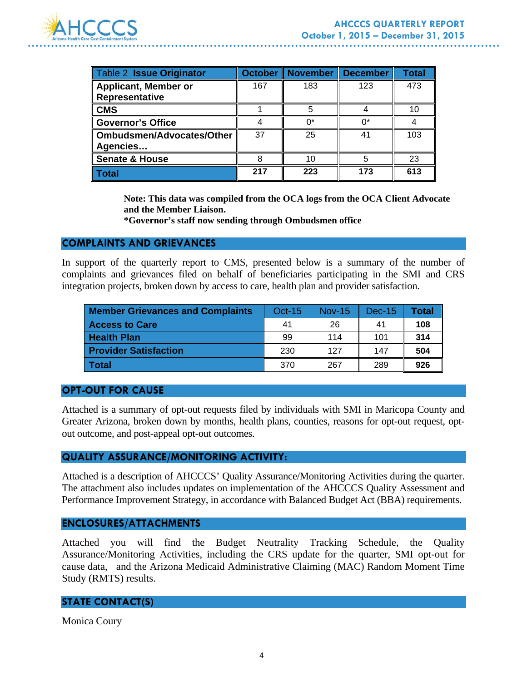

| Table 2 Issue Originator                      | <b>October</b> | November | <b>December</b> | Total |
|-----------------------------------------------|----------------|----------|-----------------|-------|
| <b>Applicant, Member or</b><br>Representative | 167            | 183      | 123             | 473   |
| <b>CMS</b>                                    |                | 5        |                 | 10    |
| <b>Governor's Office</b>                      |                | n*       | ∩*              |       |
| <b>Ombudsmen/Advocates/Other</b><br>Agencies  | 37             | 25       | 41              | 103   |
| <b>Senate &amp; House</b>                     | 8              | 10       |                 | 23    |
| Total                                         | 217            | 223      | 173             | 613   |

**Note: This data was compiled from the OCA logs from the OCA Client Advocate and the Member Liaison.** 

**\*Governor's staff now sending through Ombudsmen office** 

#### **COMPLAINTS AND GRIEVANCES**

In support of the quarterly report to CMS, presented below is a summary of the number of complaints and grievances filed on behalf of beneficiaries participating in the SMI and CRS integration projects, broken down by access to care, health plan and provider satisfaction.

| <b>Member Grievances and Complaints</b> | <b>Oct-15</b> | <b>Nov-15</b> | Dec-15 | Total |
|-----------------------------------------|---------------|---------------|--------|-------|
| <b>Access to Care</b>                   | 41            | 26            | 41     | 108   |
| <b>Health Plan</b>                      | 99            | 114           | 101    | 314   |
| <b>Provider Satisfaction</b>            | 230           | 127           | 147    | 504   |
| Total                                   | 370           | 267           | 289    | 926   |

#### **OPT-OUT FOR CAUSE**

Attached is a summary of opt-out requests filed by individuals with SMI in Maricopa County and Greater Arizona, broken down by months, health plans, counties, reasons for opt-out request, optout outcome, and post-appeal opt-out outcomes.

#### **QUALITY ASSURANCE/MONITORING ACTIVITY:**

Attached is a description of AHCCCS' Quality Assurance/Monitoring Activities during the quarter. The attachment also includes updates on implementation of the AHCCCS Quality Assessment and Performance Improvement Strategy, in accordance with Balanced Budget Act (BBA) requirements.

#### **ENCLOSURES/ATTACHMENTS**

Attached you will find the Budget Neutrality Tracking Schedule, the Quality Assurance/Monitoring Activities, including the CRS update for the quarter, SMI opt-out for cause data, and the Arizona Medicaid Administrative Claiming (MAC) Random Moment Time Study (RMTS) results.

#### **STATE CONTACT(S)**

Monica Coury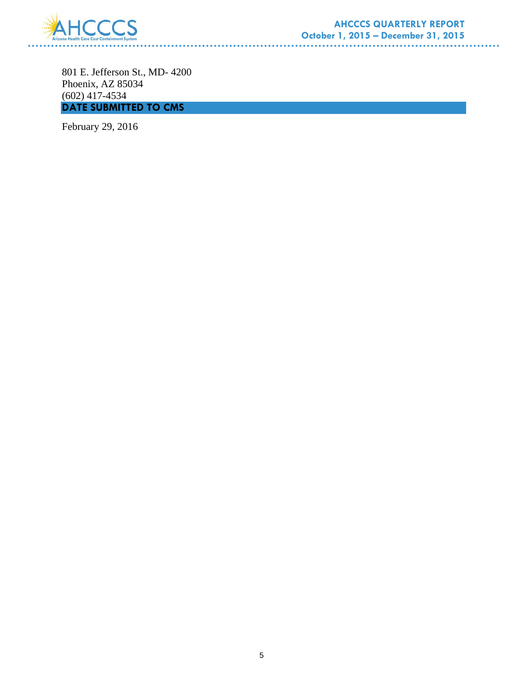

801 E. Jefferson St., MD- 4200 Phoenix, AZ 85034 (602) 417-4534 **DATE SUBMITTED TO CMS** 

. . . . . . . . . . . . . . . . .

February 29, 2016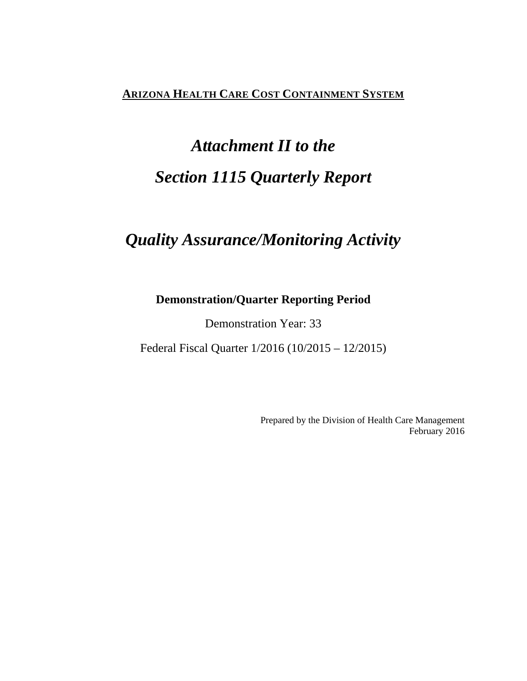# **ARIZONA HEALTH CARE COST CONTAINMENT SYSTEM**

# *Attachment II to the Section 1115 Quarterly Report*

# *Quality Assurance/Monitoring Activity*

# **Demonstration/Quarter Reporting Period**

Demonstration Year: 33

Federal Fiscal Quarter 1/2016 (10/2015 – 12/2015)

Prepared by the Division of Health Care Management February 2016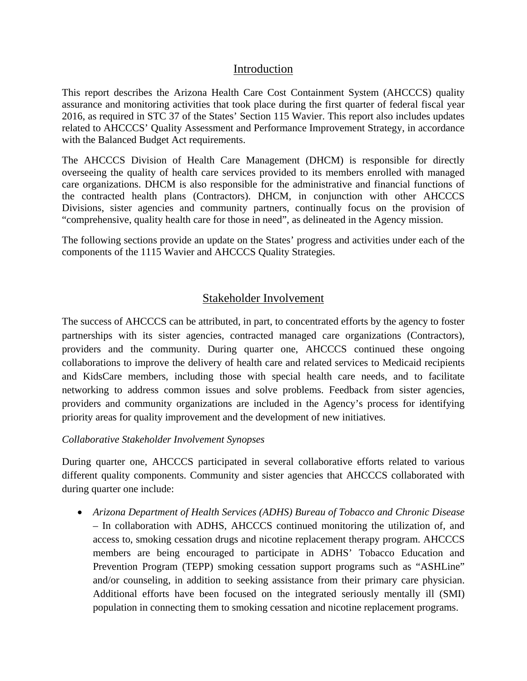# Introduction

This report describes the Arizona Health Care Cost Containment System (AHCCCS) quality assurance and monitoring activities that took place during the first quarter of federal fiscal year 2016, as required in STC 37 of the States' Section 115 Wavier. This report also includes updates related to AHCCCS' Quality Assessment and Performance Improvement Strategy, in accordance with the Balanced Budget Act requirements.

The AHCCCS Division of Health Care Management (DHCM) is responsible for directly overseeing the quality of health care services provided to its members enrolled with managed care organizations. DHCM is also responsible for the administrative and financial functions of the contracted health plans (Contractors). DHCM, in conjunction with other AHCCCS Divisions, sister agencies and community partners, continually focus on the provision of "comprehensive, quality health care for those in need", as delineated in the Agency mission.

The following sections provide an update on the States' progress and activities under each of the components of the 1115 Wavier and AHCCCS Quality Strategies.

# Stakeholder Involvement

The success of AHCCCS can be attributed, in part, to concentrated efforts by the agency to foster partnerships with its sister agencies, contracted managed care organizations (Contractors), providers and the community. During quarter one, AHCCCS continued these ongoing collaborations to improve the delivery of health care and related services to Medicaid recipients and KidsCare members, including those with special health care needs, and to facilitate networking to address common issues and solve problems. Feedback from sister agencies, providers and community organizations are included in the Agency's process for identifying priority areas for quality improvement and the development of new initiatives.

### *Collaborative Stakeholder Involvement Synopses*

During quarter one, AHCCCS participated in several collaborative efforts related to various different quality components. Community and sister agencies that AHCCCS collaborated with during quarter one include:

• *Arizona Department of Health Services (ADHS) Bureau of Tobacco and Chronic Disease* – In collaboration with ADHS, AHCCCS continued monitoring the utilization of, and access to, smoking cessation drugs and nicotine replacement therapy program. AHCCCS members are being encouraged to participate in ADHS' Tobacco Education and Prevention Program (TEPP) smoking cessation support programs such as "ASHLine" and/or counseling, in addition to seeking assistance from their primary care physician. Additional efforts have been focused on the integrated seriously mentally ill (SMI) population in connecting them to smoking cessation and nicotine replacement programs.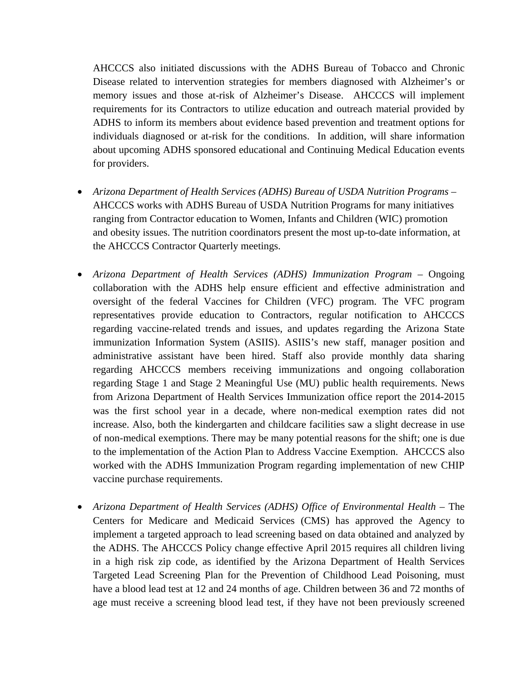AHCCCS also initiated discussions with the ADHS Bureau of Tobacco and Chronic Disease related to intervention strategies for members diagnosed with Alzheimer's or memory issues and those at-risk of Alzheimer's Disease. AHCCCS will implement requirements for its Contractors to utilize education and outreach material provided by ADHS to inform its members about evidence based prevention and treatment options for individuals diagnosed or at-risk for the conditions. In addition, will share information about upcoming ADHS sponsored educational and Continuing Medical Education events for providers.

- *Arizona Department of Health Services (ADHS) Bureau of USDA Nutrition Programs*  AHCCCS works with ADHS Bureau of USDA Nutrition Programs for many initiatives ranging from Contractor education to Women, Infants and Children (WIC) promotion and obesity issues. The nutrition coordinators present the most up-to-date information, at the AHCCCS Contractor Quarterly meetings.
- *Arizona Department of Health Services (ADHS) Immunization Program* Ongoing collaboration with the ADHS help ensure efficient and effective administration and oversight of the federal Vaccines for Children (VFC) program. The VFC program representatives provide education to Contractors, regular notification to AHCCCS regarding vaccine-related trends and issues, and updates regarding the Arizona State immunization Information System (ASIIS). ASIIS's new staff, manager position and administrative assistant have been hired. Staff also provide monthly data sharing regarding AHCCCS members receiving immunizations and ongoing collaboration regarding Stage 1 and Stage 2 Meaningful Use (MU) public health requirements. News from Arizona Department of Health Services Immunization office report the 2014-2015 was the first school year in a decade, where non-medical exemption rates did not increase. Also, both the kindergarten and childcare facilities saw a slight decrease in use of non-medical exemptions. There may be many potential reasons for the shift; one is due to the implementation of the Action Plan to Address Vaccine Exemption. AHCCCS also worked with the ADHS Immunization Program regarding implementation of new CHIP vaccine purchase requirements.
- *Arizona Department of Health Services (ADHS) Office of Environmental Health* The Centers for Medicare and Medicaid Services (CMS) has approved the Agency to implement a targeted approach to lead screening based on data obtained and analyzed by the ADHS. The AHCCCS Policy change effective April 2015 requires all children living in a high risk zip code, as identified by the Arizona Department of Health Services Targeted Lead Screening Plan for the Prevention of Childhood Lead Poisoning, must have a blood lead test at 12 and 24 months of age. Children between 36 and 72 months of age must receive a screening blood lead test, if they have not been previously screened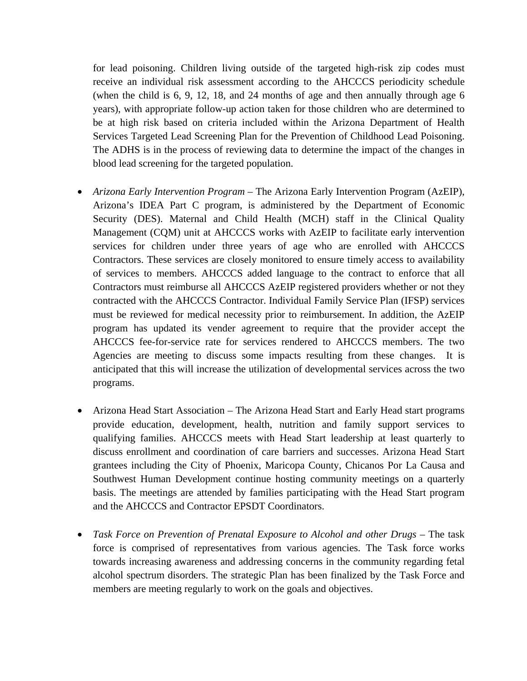for lead poisoning. Children living outside of the targeted high-risk zip codes must receive an individual risk assessment according to the AHCCCS periodicity schedule (when the child is 6, 9, 12, 18, and 24 months of age and then annually through age 6 years), with appropriate follow-up action taken for those children who are determined to be at high risk based on criteria included within the Arizona Department of Health Services Targeted Lead Screening Plan for the Prevention of Childhood Lead Poisoning. The ADHS is in the process of reviewing data to determine the impact of the changes in blood lead screening for the targeted population.

- *Arizona Early Intervention Program* The Arizona Early Intervention Program (AzEIP), Arizona's IDEA Part C program, is administered by the Department of Economic Security (DES). Maternal and Child Health (MCH) staff in the Clinical Quality Management (CQM) unit at AHCCCS works with AzEIP to facilitate early intervention services for children under three years of age who are enrolled with AHCCCS Contractors. These services are closely monitored to ensure timely access to availability of services to members. AHCCCS added language to the contract to enforce that all Contractors must reimburse all AHCCCS AzEIP registered providers whether or not they contracted with the AHCCCS Contractor. Individual Family Service Plan (IFSP) services must be reviewed for medical necessity prior to reimbursement. In addition, the AzEIP program has updated its vender agreement to require that the provider accept the AHCCCS fee-for-service rate for services rendered to AHCCCS members. The two Agencies are meeting to discuss some impacts resulting from these changes. It is anticipated that this will increase the utilization of developmental services across the two programs.
- Arizona Head Start Association The Arizona Head Start and Early Head start programs provide education, development, health, nutrition and family support services to qualifying families. AHCCCS meets with Head Start leadership at least quarterly to discuss enrollment and coordination of care barriers and successes. Arizona Head Start grantees including the City of Phoenix, Maricopa County, Chicanos Por La Causa and Southwest Human Development continue hosting community meetings on a quarterly basis. The meetings are attended by families participating with the Head Start program and the AHCCCS and Contractor EPSDT Coordinators.
- *Task Force on Prevention of Prenatal Exposure to Alcohol and other Drugs* The task force is comprised of representatives from various agencies. The Task force works towards increasing awareness and addressing concerns in the community regarding fetal alcohol spectrum disorders. The strategic Plan has been finalized by the Task Force and members are meeting regularly to work on the goals and objectives.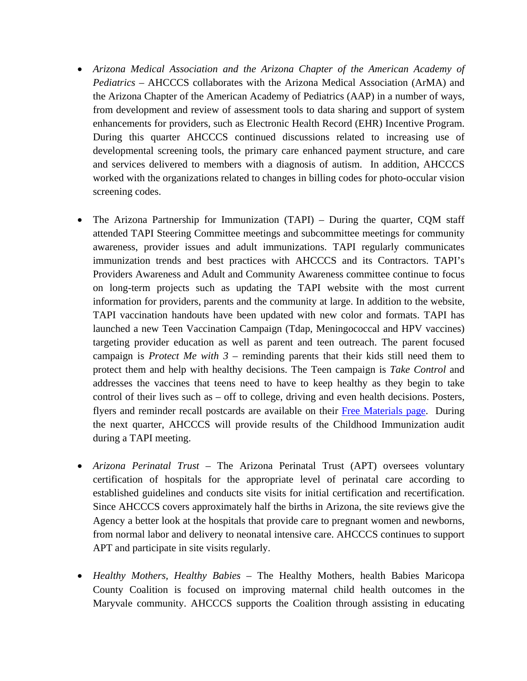- *Arizona Medical Association and the Arizona Chapter of the American Academy of Pediatrics* – AHCCCS collaborates with the Arizona Medical Association (ArMA) and the Arizona Chapter of the American Academy of Pediatrics (AAP) in a number of ways, from development and review of assessment tools to data sharing and support of system enhancements for providers, such as Electronic Health Record (EHR) Incentive Program. During this quarter AHCCCS continued discussions related to increasing use of developmental screening tools, the primary care enhanced payment structure, and care and services delivered to members with a diagnosis of autism. In addition, AHCCCS worked with the organizations related to changes in billing codes for photo-occular vision screening codes.
- The Arizona Partnership for Immunization (TAPI) During the quarter, CQM staff attended TAPI Steering Committee meetings and subcommittee meetings for community awareness, provider issues and adult immunizations. TAPI regularly communicates immunization trends and best practices with AHCCCS and its Contractors. TAPI's Providers Awareness and Adult and Community Awareness committee continue to focus on long-term projects such as updating the TAPI website with the most current information for providers, parents and the community at large. In addition to the website, TAPI vaccination handouts have been updated with new color and formats. TAPI has launched a new Teen Vaccination Campaign (Tdap, Meningococcal and HPV vaccines) targeting provider education as well as parent and teen outreach. The parent focused campaign is *Protect Me with 3* – reminding parents that their kids still need them to protect them and help with healthy decisions. The Teen campaign is *Take Control* and addresses the vaccines that teens need to have to keep healthy as they begin to take control of their lives such as – off to college, driving and even health decisions. Posters, flyers and reminder recall postcards are available on their Free Materials page. During the next quarter, AHCCCS will provide results of the Childhood Immunization audit during a TAPI meeting.
- *Arizona Perinatal Trust* The Arizona Perinatal Trust (APT) oversees voluntary certification of hospitals for the appropriate level of perinatal care according to established guidelines and conducts site visits for initial certification and recertification. Since AHCCCS covers approximately half the births in Arizona, the site reviews give the Agency a better look at the hospitals that provide care to pregnant women and newborns, from normal labor and delivery to neonatal intensive care. AHCCCS continues to support APT and participate in site visits regularly.
- *Healthy Mothers, Healthy Babies* The Healthy Mothers, health Babies Maricopa County Coalition is focused on improving maternal child health outcomes in the Maryvale community. AHCCCS supports the Coalition through assisting in educating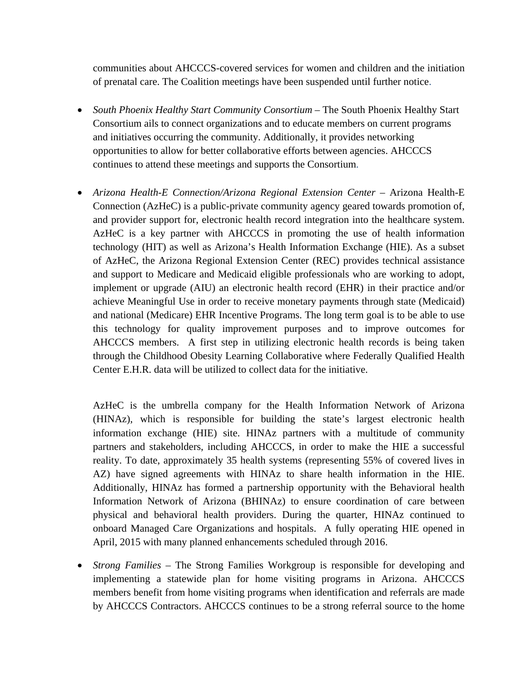communities about AHCCCS-covered services for women and children and the initiation of prenatal care. The Coalition meetings have been suspended until further notice.

- *South Phoenix Healthy Start Community Consortium* The South Phoenix Healthy Start Consortium ails to connect organizations and to educate members on current programs and initiatives occurring the community. Additionally, it provides networking opportunities to allow for better collaborative efforts between agencies. AHCCCS continues to attend these meetings and supports the Consortium.
- *Arizona Health-E Connection/Arizona Regional Extension Center* Arizona Health-E Connection (AzHeC) is a public-private community agency geared towards promotion of, and provider support for, electronic health record integration into the healthcare system. AzHeC is a key partner with AHCCCS in promoting the use of health information technology (HIT) as well as Arizona's Health Information Exchange (HIE). As a subset of AzHeC, the Arizona Regional Extension Center (REC) provides technical assistance and support to Medicare and Medicaid eligible professionals who are working to adopt, implement or upgrade (AIU) an electronic health record (EHR) in their practice and/or achieve Meaningful Use in order to receive monetary payments through state (Medicaid) and national (Medicare) EHR Incentive Programs. The long term goal is to be able to use this technology for quality improvement purposes and to improve outcomes for AHCCCS members. A first step in utilizing electronic health records is being taken through the Childhood Obesity Learning Collaborative where Federally Qualified Health Center E.H.R. data will be utilized to collect data for the initiative.

AzHeC is the umbrella company for the Health Information Network of Arizona (HINAz), which is responsible for building the state's largest electronic health information exchange (HIE) site. HINAz partners with a multitude of community partners and stakeholders, including AHCCCS, in order to make the HIE a successful reality. To date, approximately 35 health systems (representing 55% of covered lives in AZ) have signed agreements with HINAz to share health information in the HIE. Additionally, HINAz has formed a partnership opportunity with the Behavioral health Information Network of Arizona (BHINAz) to ensure coordination of care between physical and behavioral health providers. During the quarter, HINAz continued to onboard Managed Care Organizations and hospitals. A fully operating HIE opened in April, 2015 with many planned enhancements scheduled through 2016.

• *Strong Families* – The Strong Families Workgroup is responsible for developing and implementing a statewide plan for home visiting programs in Arizona. AHCCCS members benefit from home visiting programs when identification and referrals are made by AHCCCS Contractors. AHCCCS continues to be a strong referral source to the home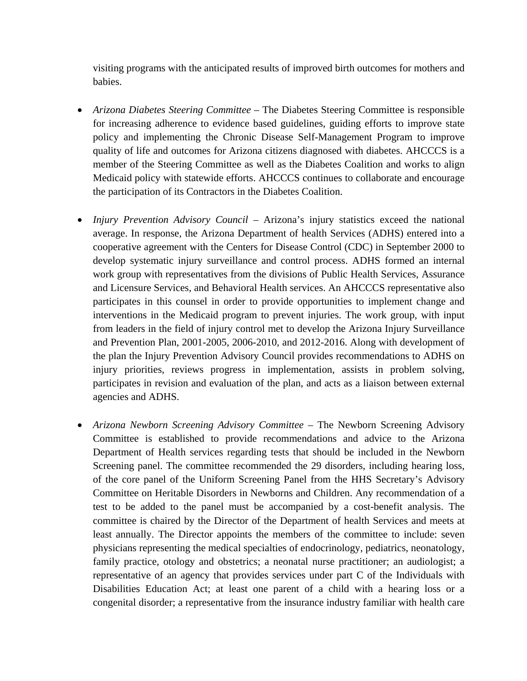visiting programs with the anticipated results of improved birth outcomes for mothers and babies.

- *Arizona Diabetes Steering Committee* The Diabetes Steering Committee is responsible for increasing adherence to evidence based guidelines, guiding efforts to improve state policy and implementing the Chronic Disease Self-Management Program to improve quality of life and outcomes for Arizona citizens diagnosed with diabetes. AHCCCS is a member of the Steering Committee as well as the Diabetes Coalition and works to align Medicaid policy with statewide efforts. AHCCCS continues to collaborate and encourage the participation of its Contractors in the Diabetes Coalition.
- *Injury Prevention Advisory Council* Arizona's injury statistics exceed the national average. In response, the Arizona Department of health Services (ADHS) entered into a cooperative agreement with the Centers for Disease Control (CDC) in September 2000 to develop systematic injury surveillance and control process. ADHS formed an internal work group with representatives from the divisions of Public Health Services, Assurance and Licensure Services, and Behavioral Health services. An AHCCCS representative also participates in this counsel in order to provide opportunities to implement change and interventions in the Medicaid program to prevent injuries. The work group, with input from leaders in the field of injury control met to develop the Arizona Injury Surveillance and Prevention Plan, 2001-2005, 2006-2010, and 2012-2016. Along with development of the plan the Injury Prevention Advisory Council provides recommendations to ADHS on injury priorities, reviews progress in implementation, assists in problem solving, participates in revision and evaluation of the plan, and acts as a liaison between external agencies and ADHS.
- *Arizona Newborn Screening Advisory Committee*  The Newborn Screening Advisory Committee is established to provide recommendations and advice to the Arizona Department of Health services regarding tests that should be included in the Newborn Screening panel. The committee recommended the 29 disorders, including hearing loss, of the core panel of the Uniform Screening Panel from the HHS Secretary's Advisory Committee on Heritable Disorders in Newborns and Children. Any recommendation of a test to be added to the panel must be accompanied by a cost-benefit analysis. The committee is chaired by the Director of the Department of health Services and meets at least annually. The Director appoints the members of the committee to include: seven physicians representing the medical specialties of endocrinology, pediatrics, neonatology, family practice, otology and obstetrics; a neonatal nurse practitioner; an audiologist; a representative of an agency that provides services under part C of the Individuals with Disabilities Education Act; at least one parent of a child with a hearing loss or a congenital disorder; a representative from the insurance industry familiar with health care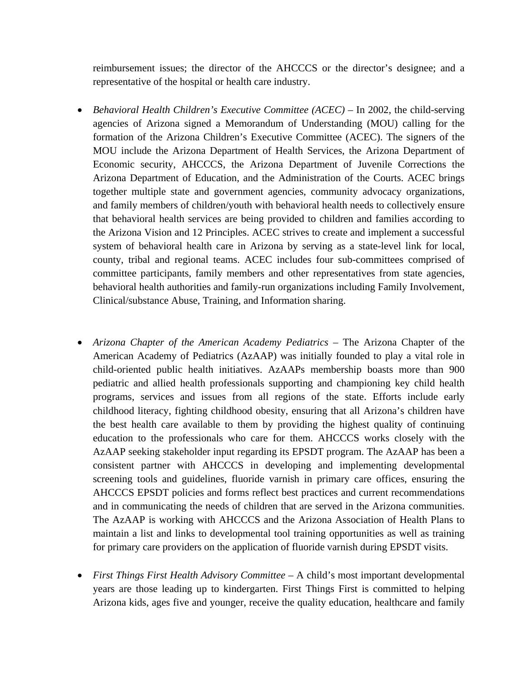reimbursement issues; the director of the AHCCCS or the director's designee; and a representative of the hospital or health care industry.

- *Behavioral Health Children's Executive Committee (ACEC)* In 2002, the child-serving agencies of Arizona signed a Memorandum of Understanding (MOU) calling for the formation of the Arizona Children's Executive Committee (ACEC). The signers of the MOU include the Arizona Department of Health Services, the Arizona Department of Economic security, AHCCCS, the Arizona Department of Juvenile Corrections the Arizona Department of Education, and the Administration of the Courts. ACEC brings together multiple state and government agencies, community advocacy organizations, and family members of children/youth with behavioral health needs to collectively ensure that behavioral health services are being provided to children and families according to the Arizona Vision and 12 Principles. ACEC strives to create and implement a successful system of behavioral health care in Arizona by serving as a state-level link for local, county, tribal and regional teams. ACEC includes four sub-committees comprised of committee participants, family members and other representatives from state agencies, behavioral health authorities and family-run organizations including Family Involvement, Clinical/substance Abuse, Training, and Information sharing.
- *Arizona Chapter of the American Academy Pediatrics* The Arizona Chapter of the American Academy of Pediatrics (AzAAP) was initially founded to play a vital role in child-oriented public health initiatives. AzAAPs membership boasts more than 900 pediatric and allied health professionals supporting and championing key child health programs, services and issues from all regions of the state. Efforts include early childhood literacy, fighting childhood obesity, ensuring that all Arizona's children have the best health care available to them by providing the highest quality of continuing education to the professionals who care for them. AHCCCS works closely with the AzAAP seeking stakeholder input regarding its EPSDT program. The AzAAP has been a consistent partner with AHCCCS in developing and implementing developmental screening tools and guidelines, fluoride varnish in primary care offices, ensuring the AHCCCS EPSDT policies and forms reflect best practices and current recommendations and in communicating the needs of children that are served in the Arizona communities. The AzAAP is working with AHCCCS and the Arizona Association of Health Plans to maintain a list and links to developmental tool training opportunities as well as training for primary care providers on the application of fluoride varnish during EPSDT visits.
- *First Things First Health Advisory Committee* A child's most important developmental years are those leading up to kindergarten. First Things First is committed to helping Arizona kids, ages five and younger, receive the quality education, healthcare and family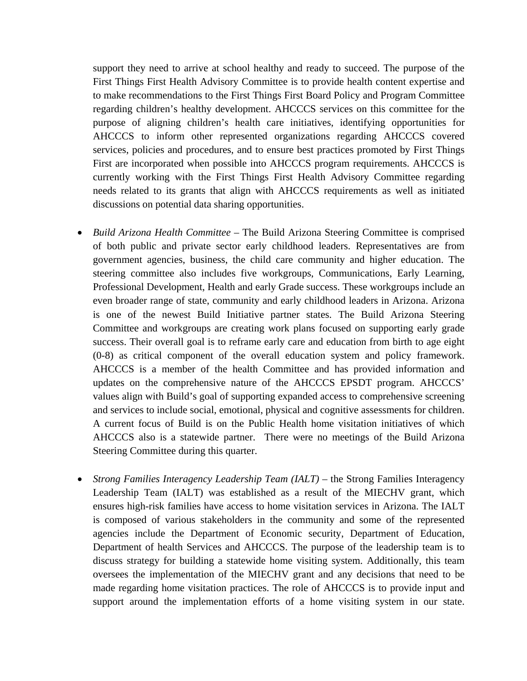support they need to arrive at school healthy and ready to succeed. The purpose of the First Things First Health Advisory Committee is to provide health content expertise and to make recommendations to the First Things First Board Policy and Program Committee regarding children's healthy development. AHCCCS services on this committee for the purpose of aligning children's health care initiatives, identifying opportunities for AHCCCS to inform other represented organizations regarding AHCCCS covered services, policies and procedures, and to ensure best practices promoted by First Things First are incorporated when possible into AHCCCS program requirements. AHCCCS is currently working with the First Things First Health Advisory Committee regarding needs related to its grants that align with AHCCCS requirements as well as initiated discussions on potential data sharing opportunities.

- *Build Arizona Health Committee* The Build Arizona Steering Committee is comprised of both public and private sector early childhood leaders. Representatives are from government agencies, business, the child care community and higher education. The steering committee also includes five workgroups, Communications, Early Learning, Professional Development, Health and early Grade success. These workgroups include an even broader range of state, community and early childhood leaders in Arizona. Arizona is one of the newest Build Initiative partner states. The Build Arizona Steering Committee and workgroups are creating work plans focused on supporting early grade success. Their overall goal is to reframe early care and education from birth to age eight (0-8) as critical component of the overall education system and policy framework. AHCCCS is a member of the health Committee and has provided information and updates on the comprehensive nature of the AHCCCS EPSDT program. AHCCCS' values align with Build's goal of supporting expanded access to comprehensive screening and services to include social, emotional, physical and cognitive assessments for children. A current focus of Build is on the Public Health home visitation initiatives of which AHCCCS also is a statewide partner. There were no meetings of the Build Arizona Steering Committee during this quarter.
- *Strong Families Interagency Leadership Team (IALT)* the Strong Families Interagency Leadership Team (IALT) was established as a result of the MIECHV grant, which ensures high-risk families have access to home visitation services in Arizona. The IALT is composed of various stakeholders in the community and some of the represented agencies include the Department of Economic security, Department of Education, Department of health Services and AHCCCS. The purpose of the leadership team is to discuss strategy for building a statewide home visiting system. Additionally, this team oversees the implementation of the MIECHV grant and any decisions that need to be made regarding home visitation practices. The role of AHCCCS is to provide input and support around the implementation efforts of a home visiting system in our state.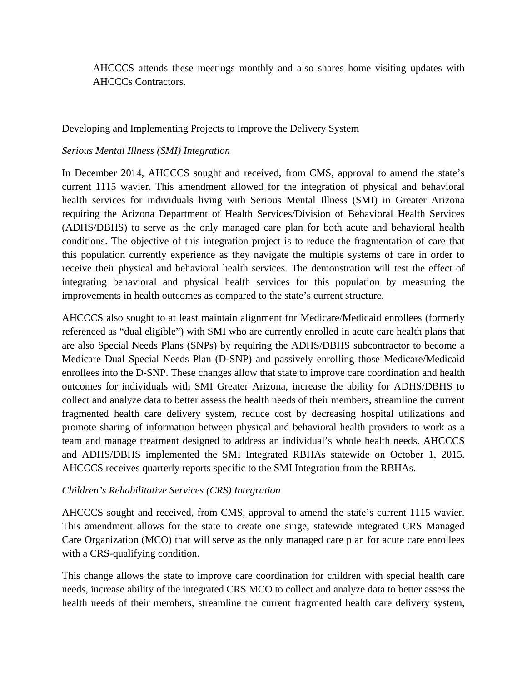AHCCCS attends these meetings monthly and also shares home visiting updates with AHCCCs Contractors.

#### Developing and Implementing Projects to Improve the Delivery System

### *Serious Mental Illness (SMI) Integration*

In December 2014, AHCCCS sought and received, from CMS, approval to amend the state's current 1115 wavier. This amendment allowed for the integration of physical and behavioral health services for individuals living with Serious Mental Illness (SMI) in Greater Arizona requiring the Arizona Department of Health Services/Division of Behavioral Health Services (ADHS/DBHS) to serve as the only managed care plan for both acute and behavioral health conditions. The objective of this integration project is to reduce the fragmentation of care that this population currently experience as they navigate the multiple systems of care in order to receive their physical and behavioral health services. The demonstration will test the effect of integrating behavioral and physical health services for this population by measuring the improvements in health outcomes as compared to the state's current structure.

AHCCCS also sought to at least maintain alignment for Medicare/Medicaid enrollees (formerly referenced as "dual eligible") with SMI who are currently enrolled in acute care health plans that are also Special Needs Plans (SNPs) by requiring the ADHS/DBHS subcontractor to become a Medicare Dual Special Needs Plan (D-SNP) and passively enrolling those Medicare/Medicaid enrollees into the D-SNP. These changes allow that state to improve care coordination and health outcomes for individuals with SMI Greater Arizona, increase the ability for ADHS/DBHS to collect and analyze data to better assess the health needs of their members, streamline the current fragmented health care delivery system, reduce cost by decreasing hospital utilizations and promote sharing of information between physical and behavioral health providers to work as a team and manage treatment designed to address an individual's whole health needs. AHCCCS and ADHS/DBHS implemented the SMI Integrated RBHAs statewide on October 1, 2015. AHCCCS receives quarterly reports specific to the SMI Integration from the RBHAs.

#### *Children's Rehabilitative Services (CRS) Integration*

AHCCCS sought and received, from CMS, approval to amend the state's current 1115 wavier. This amendment allows for the state to create one singe, statewide integrated CRS Managed Care Organization (MCO) that will serve as the only managed care plan for acute care enrollees with a CRS-qualifying condition.

This change allows the state to improve care coordination for children with special health care needs, increase ability of the integrated CRS MCO to collect and analyze data to better assess the health needs of their members, streamline the current fragmented health care delivery system,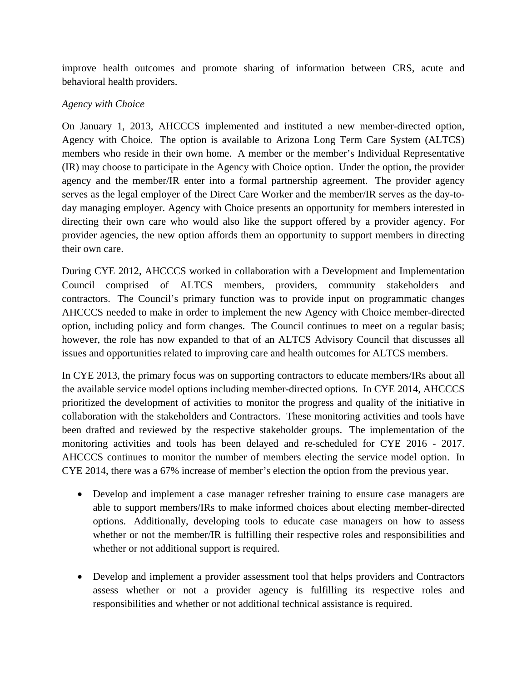improve health outcomes and promote sharing of information between CRS, acute and behavioral health providers.

### *Agency with Choice*

On January 1, 2013, AHCCCS implemented and instituted a new member-directed option, Agency with Choice. The option is available to Arizona Long Term Care System (ALTCS) members who reside in their own home. A member or the member's Individual Representative (IR) may choose to participate in the Agency with Choice option. Under the option, the provider agency and the member/IR enter into a formal partnership agreement. The provider agency serves as the legal employer of the Direct Care Worker and the member/IR serves as the day-today managing employer. Agency with Choice presents an opportunity for members interested in directing their own care who would also like the support offered by a provider agency. For provider agencies, the new option affords them an opportunity to support members in directing their own care.

During CYE 2012, AHCCCS worked in collaboration with a Development and Implementation Council comprised of ALTCS members, providers, community stakeholders and contractors. The Council's primary function was to provide input on programmatic changes AHCCCS needed to make in order to implement the new Agency with Choice member-directed option, including policy and form changes. The Council continues to meet on a regular basis; however, the role has now expanded to that of an ALTCS Advisory Council that discusses all issues and opportunities related to improving care and health outcomes for ALTCS members.

In CYE 2013, the primary focus was on supporting contractors to educate members/IRs about all the available service model options including member-directed options. In CYE 2014, AHCCCS prioritized the development of activities to monitor the progress and quality of the initiative in collaboration with the stakeholders and Contractors. These monitoring activities and tools have been drafted and reviewed by the respective stakeholder groups. The implementation of the monitoring activities and tools has been delayed and re-scheduled for CYE 2016 - 2017. AHCCCS continues to monitor the number of members electing the service model option. In CYE 2014, there was a 67% increase of member's election the option from the previous year.

- Develop and implement a case manager refresher training to ensure case managers are able to support members/IRs to make informed choices about electing member-directed options. Additionally, developing tools to educate case managers on how to assess whether or not the member/IR is fulfilling their respective roles and responsibilities and whether or not additional support is required.
- Develop and implement a provider assessment tool that helps providers and Contractors assess whether or not a provider agency is fulfilling its respective roles and responsibilities and whether or not additional technical assistance is required.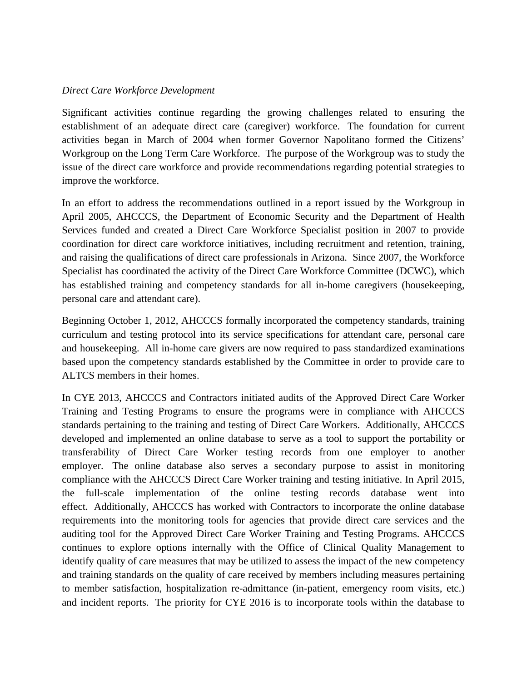#### *Direct Care Workforce Development*

Significant activities continue regarding the growing challenges related to ensuring the establishment of an adequate direct care (caregiver) workforce. The foundation for current activities began in March of 2004 when former Governor Napolitano formed the Citizens' Workgroup on the Long Term Care Workforce. The purpose of the Workgroup was to study the issue of the direct care workforce and provide recommendations regarding potential strategies to improve the workforce.

In an effort to address the recommendations outlined in a report issued by the Workgroup in April 2005, AHCCCS, the Department of Economic Security and the Department of Health Services funded and created a Direct Care Workforce Specialist position in 2007 to provide coordination for direct care workforce initiatives, including recruitment and retention, training, and raising the qualifications of direct care professionals in Arizona. Since 2007, the Workforce Specialist has coordinated the activity of the Direct Care Workforce Committee (DCWC), which has established training and competency standards for all in-home caregivers (housekeeping, personal care and attendant care).

Beginning October 1, 2012, AHCCCS formally incorporated the competency standards, training curriculum and testing protocol into its service specifications for attendant care, personal care and housekeeping. All in-home care givers are now required to pass standardized examinations based upon the competency standards established by the Committee in order to provide care to ALTCS members in their homes.

In CYE 2013, AHCCCS and Contractors initiated audits of the Approved Direct Care Worker Training and Testing Programs to ensure the programs were in compliance with AHCCCS standards pertaining to the training and testing of Direct Care Workers. Additionally, AHCCCS developed and implemented an online database to serve as a tool to support the portability or transferability of Direct Care Worker testing records from one employer to another employer. The online database also serves a secondary purpose to assist in monitoring compliance with the AHCCCS Direct Care Worker training and testing initiative. In April 2015, the full-scale implementation of the online testing records database went into effect. Additionally, AHCCCS has worked with Contractors to incorporate the online database requirements into the monitoring tools for agencies that provide direct care services and the auditing tool for the Approved Direct Care Worker Training and Testing Programs. AHCCCS continues to explore options internally with the Office of Clinical Quality Management to identify quality of care measures that may be utilized to assess the impact of the new competency and training standards on the quality of care received by members including measures pertaining to member satisfaction, hospitalization re-admittance (in-patient, emergency room visits, etc.) and incident reports. The priority for CYE 2016 is to incorporate tools within the database to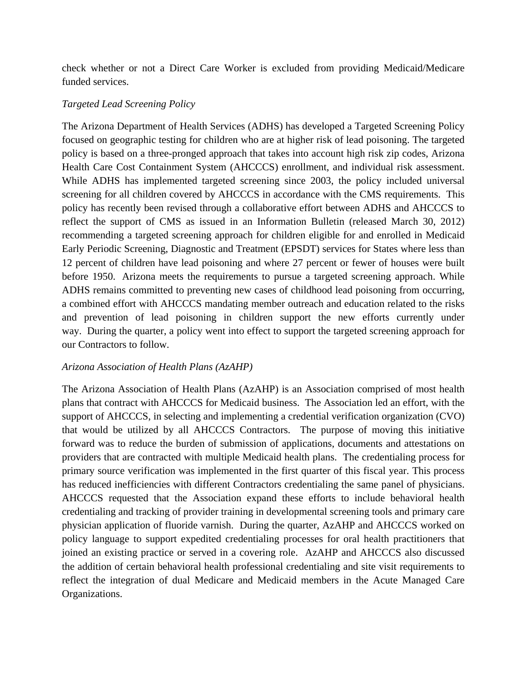check whether or not a Direct Care Worker is excluded from providing Medicaid/Medicare funded services.

### *Targeted Lead Screening Policy*

The Arizona Department of Health Services (ADHS) has developed a Targeted Screening Policy focused on geographic testing for children who are at higher risk of lead poisoning. The targeted policy is based on a three-pronged approach that takes into account high risk zip codes, Arizona Health Care Cost Containment System (AHCCCS) enrollment, and individual risk assessment. While ADHS has implemented targeted screening since 2003, the policy included universal screening for all children covered by AHCCCS in accordance with the CMS requirements. This policy has recently been revised through a collaborative effort between ADHS and AHCCCS to reflect the support of CMS as issued in an Information Bulletin (released March 30, 2012) recommending a targeted screening approach for children eligible for and enrolled in Medicaid Early Periodic Screening, Diagnostic and Treatment (EPSDT) services for States where less than 12 percent of children have lead poisoning and where 27 percent or fewer of houses were built before 1950. Arizona meets the requirements to pursue a targeted screening approach. While ADHS remains committed to preventing new cases of childhood lead poisoning from occurring, a combined effort with AHCCCS mandating member outreach and education related to the risks and prevention of lead poisoning in children support the new efforts currently under way. During the quarter, a policy went into effect to support the targeted screening approach for our Contractors to follow.

### *Arizona Association of Health Plans (AzAHP)*

The Arizona Association of Health Plans (AzAHP) is an Association comprised of most health plans that contract with AHCCCS for Medicaid business. The Association led an effort, with the support of AHCCCS, in selecting and implementing a credential verification organization (CVO) that would be utilized by all AHCCCS Contractors. The purpose of moving this initiative forward was to reduce the burden of submission of applications, documents and attestations on providers that are contracted with multiple Medicaid health plans. The credentialing process for primary source verification was implemented in the first quarter of this fiscal year. This process has reduced inefficiencies with different Contractors credentialing the same panel of physicians. AHCCCS requested that the Association expand these efforts to include behavioral health credentialing and tracking of provider training in developmental screening tools and primary care physician application of fluoride varnish. During the quarter, AzAHP and AHCCCS worked on policy language to support expedited credentialing processes for oral health practitioners that joined an existing practice or served in a covering role. AzAHP and AHCCCS also discussed the addition of certain behavioral health professional credentialing and site visit requirements to reflect the integration of dual Medicare and Medicaid members in the Acute Managed Care Organizations.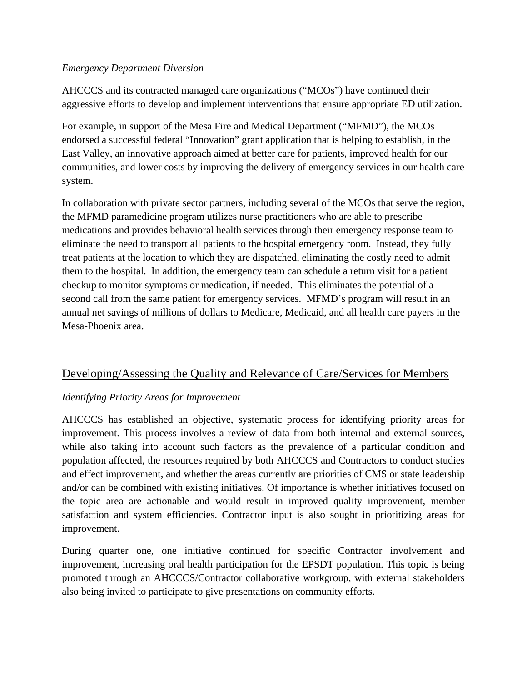### *Emergency Department Diversion*

AHCCCS and its contracted managed care organizations ("MCOs") have continued their aggressive efforts to develop and implement interventions that ensure appropriate ED utilization.

For example, in support of the Mesa Fire and Medical Department ("MFMD"), the MCOs endorsed a successful federal "Innovation" grant application that is helping to establish, in the East Valley, an innovative approach aimed at better care for patients, improved health for our communities, and lower costs by improving the delivery of emergency services in our health care system.

In collaboration with private sector partners, including several of the MCOs that serve the region, the MFMD paramedicine program utilizes nurse practitioners who are able to prescribe medications and provides behavioral health services through their emergency response team to eliminate the need to transport all patients to the hospital emergency room. Instead, they fully treat patients at the location to which they are dispatched, eliminating the costly need to admit them to the hospital. In addition, the emergency team can schedule a return visit for a patient checkup to monitor symptoms or medication, if needed. This eliminates the potential of a second call from the same patient for emergency services. MFMD's program will result in an annual net savings of millions of dollars to Medicare, Medicaid, and all health care payers in the Mesa-Phoenix area.

# Developing/Assessing the Quality and Relevance of Care/Services for Members

### *Identifying Priority Areas for Improvement*

AHCCCS has established an objective, systematic process for identifying priority areas for improvement. This process involves a review of data from both internal and external sources, while also taking into account such factors as the prevalence of a particular condition and population affected, the resources required by both AHCCCS and Contractors to conduct studies and effect improvement, and whether the areas currently are priorities of CMS or state leadership and/or can be combined with existing initiatives. Of importance is whether initiatives focused on the topic area are actionable and would result in improved quality improvement, member satisfaction and system efficiencies. Contractor input is also sought in prioritizing areas for improvement.

During quarter one, one initiative continued for specific Contractor involvement and improvement, increasing oral health participation for the EPSDT population. This topic is being promoted through an AHCCCS/Contractor collaborative workgroup, with external stakeholders also being invited to participate to give presentations on community efforts.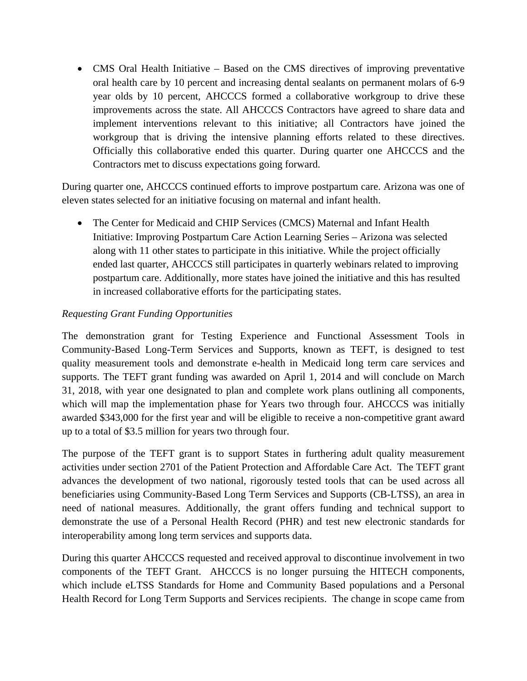• CMS Oral Health Initiative – Based on the CMS directives of improving preventative oral health care by 10 percent and increasing dental sealants on permanent molars of 6-9 year olds by 10 percent, AHCCCS formed a collaborative workgroup to drive these improvements across the state. All AHCCCS Contractors have agreed to share data and implement interventions relevant to this initiative; all Contractors have joined the workgroup that is driving the intensive planning efforts related to these directives. Officially this collaborative ended this quarter. During quarter one AHCCCS and the Contractors met to discuss expectations going forward.

During quarter one, AHCCCS continued efforts to improve postpartum care. Arizona was one of eleven states selected for an initiative focusing on maternal and infant health.

• The Center for Medicaid and CHIP Services (CMCS) Maternal and Infant Health Initiative: Improving Postpartum Care Action Learning Series – Arizona was selected along with 11 other states to participate in this initiative. While the project officially ended last quarter, AHCCCS still participates in quarterly webinars related to improving postpartum care. Additionally, more states have joined the initiative and this has resulted in increased collaborative efforts for the participating states.

## *Requesting Grant Funding Opportunities*

The demonstration grant for Testing Experience and Functional Assessment Tools in Community-Based Long-Term Services and Supports, known as TEFT, is designed to test quality measurement tools and demonstrate e-health in Medicaid long term care services and supports. The TEFT grant funding was awarded on April 1, 2014 and will conclude on March 31, 2018, with year one designated to plan and complete work plans outlining all components, which will map the implementation phase for Years two through four. AHCCCS was initially awarded \$343,000 for the first year and will be eligible to receive a non-competitive grant award up to a total of \$3.5 million for years two through four.

The purpose of the TEFT grant is to support States in furthering adult quality measurement activities under section 2701 of the Patient Protection and Affordable Care Act. The TEFT grant advances the development of two national, rigorously tested tools that can be used across all beneficiaries using Community-Based Long Term Services and Supports (CB-LTSS), an area in need of national measures. Additionally, the grant offers funding and technical support to demonstrate the use of a Personal Health Record (PHR) and test new electronic standards for interoperability among long term services and supports data.

During this quarter AHCCCS requested and received approval to discontinue involvement in two components of the TEFT Grant. AHCCCS is no longer pursuing the HITECH components, which include eLTSS Standards for Home and Community Based populations and a Personal Health Record for Long Term Supports and Services recipients. The change in scope came from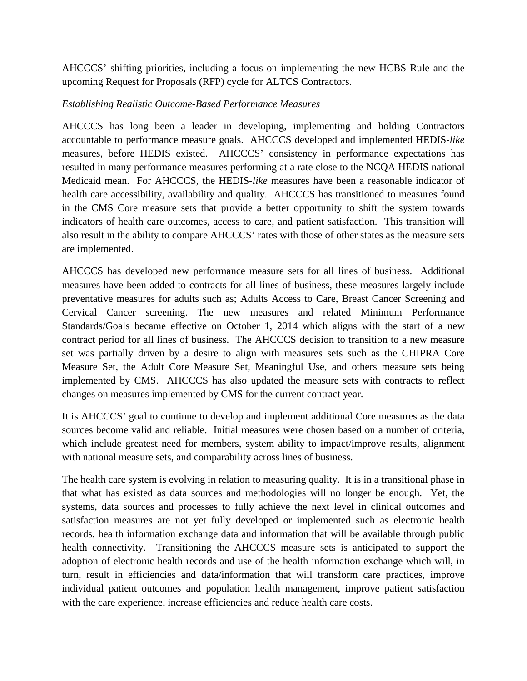AHCCCS' shifting priorities, including a focus on implementing the new HCBS Rule and the upcoming Request for Proposals (RFP) cycle for ALTCS Contractors.

### *Establishing Realistic Outcome-Based Performance Measures*

AHCCCS has long been a leader in developing, implementing and holding Contractors accountable to performance measure goals. AHCCCS developed and implemented HEDIS-*like* measures, before HEDIS existed. AHCCCS' consistency in performance expectations has resulted in many performance measures performing at a rate close to the NCQA HEDIS national Medicaid mean. For AHCCCS, the HEDIS-*like* measures have been a reasonable indicator of health care accessibility, availability and quality. AHCCCS has transitioned to measures found in the CMS Core measure sets that provide a better opportunity to shift the system towards indicators of health care outcomes, access to care, and patient satisfaction. This transition will also result in the ability to compare AHCCCS' rates with those of other states as the measure sets are implemented.

AHCCCS has developed new performance measure sets for all lines of business. Additional measures have been added to contracts for all lines of business, these measures largely include preventative measures for adults such as; Adults Access to Care, Breast Cancer Screening and Cervical Cancer screening. The new measures and related Minimum Performance Standards/Goals became effective on October 1, 2014 which aligns with the start of a new contract period for all lines of business. The AHCCCS decision to transition to a new measure set was partially driven by a desire to align with measures sets such as the CHIPRA Core Measure Set, the Adult Core Measure Set, Meaningful Use, and others measure sets being implemented by CMS. AHCCCS has also updated the measure sets with contracts to reflect changes on measures implemented by CMS for the current contract year.

It is AHCCCS' goal to continue to develop and implement additional Core measures as the data sources become valid and reliable. Initial measures were chosen based on a number of criteria, which include greatest need for members, system ability to impact/improve results, alignment with national measure sets, and comparability across lines of business.

The health care system is evolving in relation to measuring quality. It is in a transitional phase in that what has existed as data sources and methodologies will no longer be enough. Yet, the systems, data sources and processes to fully achieve the next level in clinical outcomes and satisfaction measures are not yet fully developed or implemented such as electronic health records, health information exchange data and information that will be available through public health connectivity. Transitioning the AHCCCS measure sets is anticipated to support the adoption of electronic health records and use of the health information exchange which will, in turn, result in efficiencies and data/information that will transform care practices, improve individual patient outcomes and population health management, improve patient satisfaction with the care experience, increase efficiencies and reduce health care costs.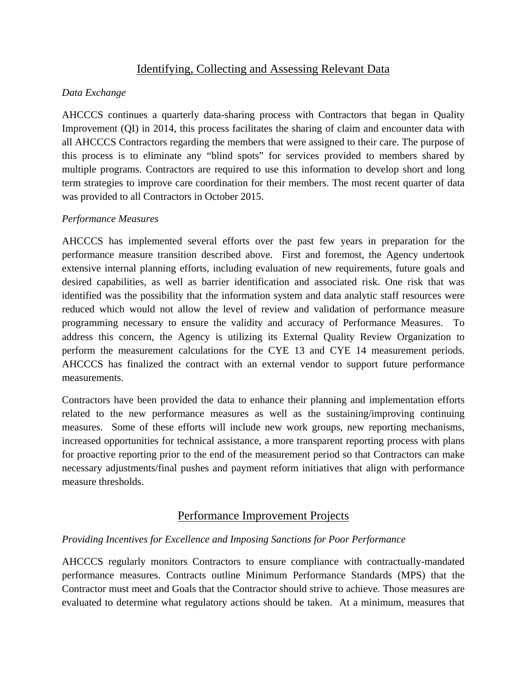# Identifying, Collecting and Assessing Relevant Data

### *Data Exchange*

AHCCCS continues a quarterly data-sharing process with Contractors that began in Quality Improvement (QI) in 2014, this process facilitates the sharing of claim and encounter data with all AHCCCS Contractors regarding the members that were assigned to their care. The purpose of this process is to eliminate any "blind spots" for services provided to members shared by multiple programs. Contractors are required to use this information to develop short and long term strategies to improve care coordination for their members. The most recent quarter of data was provided to all Contractors in October 2015.

### *Performance Measures*

AHCCCS has implemented several efforts over the past few years in preparation for the performance measure transition described above. First and foremost, the Agency undertook extensive internal planning efforts, including evaluation of new requirements, future goals and desired capabilities, as well as barrier identification and associated risk. One risk that was identified was the possibility that the information system and data analytic staff resources were reduced which would not allow the level of review and validation of performance measure programming necessary to ensure the validity and accuracy of Performance Measures. To address this concern, the Agency is utilizing its External Quality Review Organization to perform the measurement calculations for the CYE 13 and CYE 14 measurement periods. AHCCCS has finalized the contract with an external vendor to support future performance measurements.

Contractors have been provided the data to enhance their planning and implementation efforts related to the new performance measures as well as the sustaining/improving continuing measures. Some of these efforts will include new work groups, new reporting mechanisms, increased opportunities for technical assistance, a more transparent reporting process with plans for proactive reporting prior to the end of the measurement period so that Contractors can make necessary adjustments/final pushes and payment reform initiatives that align with performance measure thresholds.

# Performance Improvement Projects

### *Providing Incentives for Excellence and Imposing Sanctions for Poor Performance*

AHCCCS regularly monitors Contractors to ensure compliance with contractually-mandated performance measures. Contracts outline Minimum Performance Standards (MPS) that the Contractor must meet and Goals that the Contractor should strive to achieve. Those measures are evaluated to determine what regulatory actions should be taken. At a minimum, measures that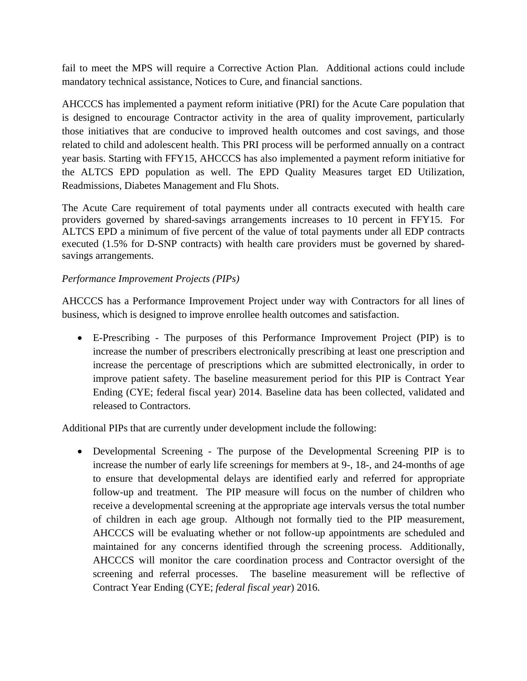fail to meet the MPS will require a Corrective Action Plan. Additional actions could include mandatory technical assistance, Notices to Cure, and financial sanctions.

AHCCCS has implemented a payment reform initiative (PRI) for the Acute Care population that is designed to encourage Contractor activity in the area of quality improvement, particularly those initiatives that are conducive to improved health outcomes and cost savings, and those related to child and adolescent health. This PRI process will be performed annually on a contract year basis. Starting with FFY15, AHCCCS has also implemented a payment reform initiative for the ALTCS EPD population as well. The EPD Quality Measures target ED Utilization, Readmissions, Diabetes Management and Flu Shots.

The Acute Care requirement of total payments under all contracts executed with health care providers governed by shared-savings arrangements increases to 10 percent in FFY15. For ALTCS EPD a minimum of five percent of the value of total payments under all EDP contracts executed (1.5% for D-SNP contracts) with health care providers must be governed by sharedsavings arrangements.

### *Performance Improvement Projects (PIPs)*

AHCCCS has a Performance Improvement Project under way with Contractors for all lines of business, which is designed to improve enrollee health outcomes and satisfaction.

• E-Prescribing - The purposes of this Performance Improvement Project (PIP) is to increase the number of prescribers electronically prescribing at least one prescription and increase the percentage of prescriptions which are submitted electronically, in order to improve patient safety. The baseline measurement period for this PIP is Contract Year Ending (CYE; federal fiscal year) 2014. Baseline data has been collected, validated and released to Contractors.

Additional PIPs that are currently under development include the following:

• Developmental Screening - The purpose of the Developmental Screening PIP is to increase the number of early life screenings for members at 9-, 18-, and 24-months of age to ensure that developmental delays are identified early and referred for appropriate follow-up and treatment. The PIP measure will focus on the number of children who receive a developmental screening at the appropriate age intervals versus the total number of children in each age group. Although not formally tied to the PIP measurement, AHCCCS will be evaluating whether or not follow-up appointments are scheduled and maintained for any concerns identified through the screening process. Additionally, AHCCCS will monitor the care coordination process and Contractor oversight of the screening and referral processes. The baseline measurement will be reflective of Contract Year Ending (CYE; *federal fiscal year*) 2016.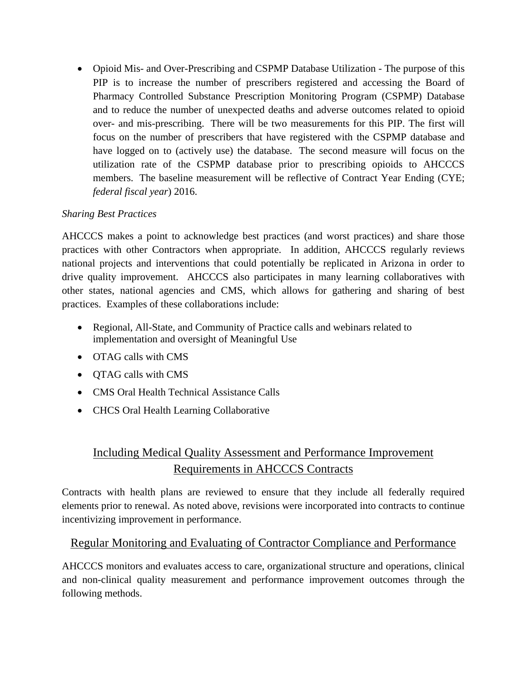• Opioid Mis- and Over-Prescribing and CSPMP Database Utilization - The purpose of this PIP is to increase the number of prescribers registered and accessing the Board of Pharmacy Controlled Substance Prescription Monitoring Program (CSPMP) Database and to reduce the number of unexpected deaths and adverse outcomes related to opioid over- and mis-prescribing. There will be two measurements for this PIP. The first will focus on the number of prescribers that have registered with the CSPMP database and have logged on to (actively use) the database. The second measure will focus on the utilization rate of the CSPMP database prior to prescribing opioids to AHCCCS members. The baseline measurement will be reflective of Contract Year Ending (CYE; *federal fiscal year*) 2016.

# *Sharing Best Practices*

AHCCCS makes a point to acknowledge best practices (and worst practices) and share those practices with other Contractors when appropriate. In addition, AHCCCS regularly reviews national projects and interventions that could potentially be replicated in Arizona in order to drive quality improvement. AHCCCS also participates in many learning collaboratives with other states, national agencies and CMS, which allows for gathering and sharing of best practices. Examples of these collaborations include:

- Regional, All-State, and Community of Practice calls and webinars related to implementation and oversight of Meaningful Use
- OTAG calls with CMS
- OTAG calls with CMS
- CMS Oral Health Technical Assistance Calls
- CHCS Oral Health Learning Collaborative

# Including Medical Quality Assessment and Performance Improvement Requirements in AHCCCS Contracts

Contracts with health plans are reviewed to ensure that they include all federally required elements prior to renewal. As noted above, revisions were incorporated into contracts to continue incentivizing improvement in performance.

# Regular Monitoring and Evaluating of Contractor Compliance and Performance

AHCCCS monitors and evaluates access to care, organizational structure and operations, clinical and non-clinical quality measurement and performance improvement outcomes through the following methods.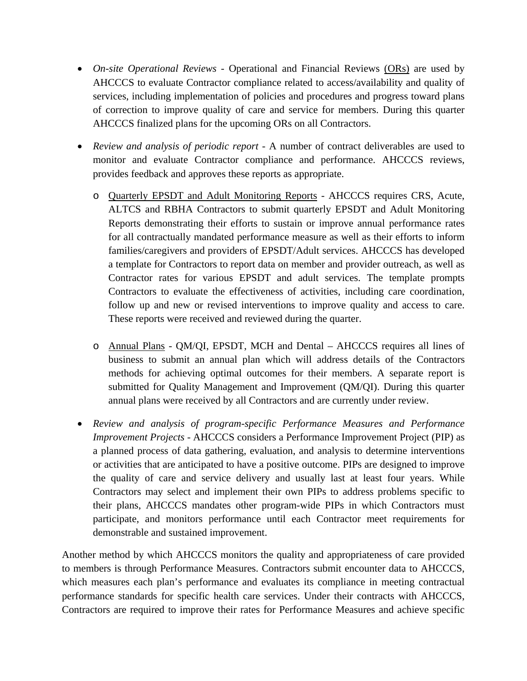- *On-site Operational Reviews Operational and Financial Reviews (ORs) are used by* AHCCCS to evaluate Contractor compliance related to access/availability and quality of services, including implementation of policies and procedures and progress toward plans of correction to improve quality of care and service for members. During this quarter AHCCCS finalized plans for the upcoming ORs on all Contractors.
- *Review and analysis of periodic report* A number of contract deliverables are used to monitor and evaluate Contractor compliance and performance. AHCCCS reviews, provides feedback and approves these reports as appropriate.
	- o Quarterly EPSDT and Adult Monitoring Reports AHCCCS requires CRS, Acute, ALTCS and RBHA Contractors to submit quarterly EPSDT and Adult Monitoring Reports demonstrating their efforts to sustain or improve annual performance rates for all contractually mandated performance measure as well as their efforts to inform families/caregivers and providers of EPSDT/Adult services. AHCCCS has developed a template for Contractors to report data on member and provider outreach, as well as Contractor rates for various EPSDT and adult services. The template prompts Contractors to evaluate the effectiveness of activities, including care coordination, follow up and new or revised interventions to improve quality and access to care. These reports were received and reviewed during the quarter.
	- o Annual Plans QM/QI, EPSDT, MCH and Dental AHCCCS requires all lines of business to submit an annual plan which will address details of the Contractors methods for achieving optimal outcomes for their members. A separate report is submitted for Quality Management and Improvement (QM/QI). During this quarter annual plans were received by all Contractors and are currently under review.
- *Review and analysis of program-specific Performance Measures and Performance Improvement Projects -* AHCCCS considers a Performance Improvement Project (PIP) as a planned process of data gathering, evaluation, and analysis to determine interventions or activities that are anticipated to have a positive outcome. PIPs are designed to improve the quality of care and service delivery and usually last at least four years. While Contractors may select and implement their own PIPs to address problems specific to their plans, AHCCCS mandates other program-wide PIPs in which Contractors must participate, and monitors performance until each Contractor meet requirements for demonstrable and sustained improvement.

Another method by which AHCCCS monitors the quality and appropriateness of care provided to members is through Performance Measures. Contractors submit encounter data to AHCCCS, which measures each plan's performance and evaluates its compliance in meeting contractual performance standards for specific health care services. Under their contracts with AHCCCS, Contractors are required to improve their rates for Performance Measures and achieve specific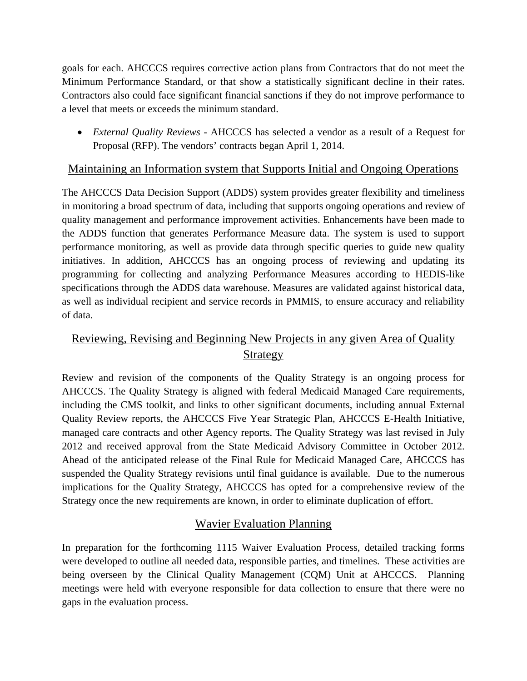goals for each. AHCCCS requires corrective action plans from Contractors that do not meet the Minimum Performance Standard, or that show a statistically significant decline in their rates. Contractors also could face significant financial sanctions if they do not improve performance to a level that meets or exceeds the minimum standard.

• *External Quality Reviews -* AHCCCS has selected a vendor as a result of a Request for Proposal (RFP). The vendors' contracts began April 1, 2014.

# Maintaining an Information system that Supports Initial and Ongoing Operations

The AHCCCS Data Decision Support (ADDS) system provides greater flexibility and timeliness in monitoring a broad spectrum of data, including that supports ongoing operations and review of quality management and performance improvement activities. Enhancements have been made to the ADDS function that generates Performance Measure data. The system is used to support performance monitoring, as well as provide data through specific queries to guide new quality initiatives. In addition, AHCCCS has an ongoing process of reviewing and updating its programming for collecting and analyzing Performance Measures according to HEDIS-like specifications through the ADDS data warehouse. Measures are validated against historical data, as well as individual recipient and service records in PMMIS, to ensure accuracy and reliability of data.

# Reviewing, Revising and Beginning New Projects in any given Area of Quality Strategy

Review and revision of the components of the Quality Strategy is an ongoing process for AHCCCS. The Quality Strategy is aligned with federal Medicaid Managed Care requirements, including the CMS toolkit, and links to other significant documents, including annual External Quality Review reports, the AHCCCS Five Year Strategic Plan, AHCCCS E-Health Initiative, managed care contracts and other Agency reports. The Quality Strategy was last revised in July 2012 and received approval from the State Medicaid Advisory Committee in October 2012. Ahead of the anticipated release of the Final Rule for Medicaid Managed Care, AHCCCS has suspended the Quality Strategy revisions until final guidance is available. Due to the numerous implications for the Quality Strategy, AHCCCS has opted for a comprehensive review of the Strategy once the new requirements are known, in order to eliminate duplication of effort.

# Wavier Evaluation Planning

In preparation for the forthcoming 1115 Waiver Evaluation Process, detailed tracking forms were developed to outline all needed data, responsible parties, and timelines. These activities are being overseen by the Clinical Quality Management (CQM) Unit at AHCCCS. Planning meetings were held with everyone responsible for data collection to ensure that there were no gaps in the evaluation process.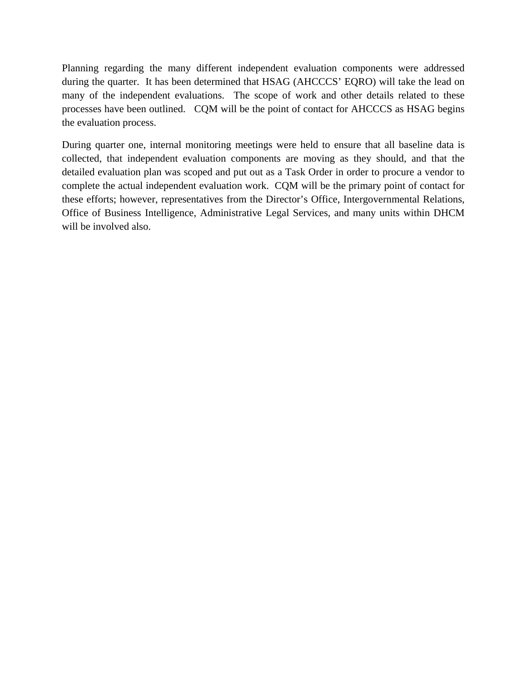Planning regarding the many different independent evaluation components were addressed during the quarter. It has been determined that HSAG (AHCCCS' EQRO) will take the lead on many of the independent evaluations. The scope of work and other details related to these processes have been outlined. CQM will be the point of contact for AHCCCS as HSAG begins the evaluation process.

During quarter one, internal monitoring meetings were held to ensure that all baseline data is collected, that independent evaluation components are moving as they should, and that the detailed evaluation plan was scoped and put out as a Task Order in order to procure a vendor to complete the actual independent evaluation work. CQM will be the primary point of contact for these efforts; however, representatives from the Director's Office, Intergovernmental Relations, Office of Business Intelligence, Administrative Legal Services, and many units within DHCM will be involved also.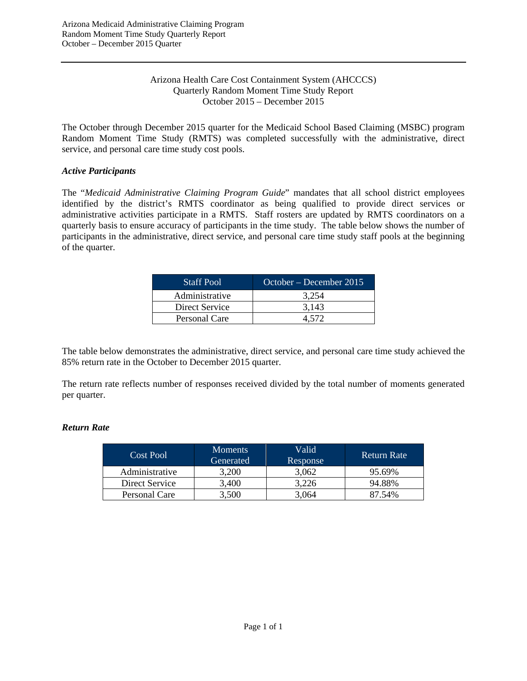#### Arizona Health Care Cost Containment System (AHCCCS) Quarterly Random Moment Time Study Report October 2015 – December 2015

The October through December 2015 quarter for the Medicaid School Based Claiming (MSBC) program Random Moment Time Study (RMTS) was completed successfully with the administrative, direct service, and personal care time study cost pools.

#### *Active Participants*

The "*Medicaid Administrative Claiming Program Guide*" mandates that all school district employees identified by the district's RMTS coordinator as being qualified to provide direct services or administrative activities participate in a RMTS. Staff rosters are updated by RMTS coordinators on a quarterly basis to ensure accuracy of participants in the time study. The table below shows the number of participants in the administrative, direct service, and personal care time study staff pools at the beginning of the quarter.

| <b>Staff Pool</b> | October – December 2015 |
|-------------------|-------------------------|
| Administrative    | 3.254                   |
| Direct Service    | 3.143                   |
| Personal Care     | 4 572.                  |

The table below demonstrates the administrative, direct service, and personal care time study achieved the 85% return rate in the October to December 2015 quarter.

The return rate reflects number of responses received divided by the total number of moments generated per quarter.

#### *Return Rate*

| Cost Pool      | <b>Moments</b><br>Generated | Valid<br>Response | <b>Return Rate</b> |
|----------------|-----------------------------|-------------------|--------------------|
| Administrative | 3,200                       | 3,062             | 95.69%             |
| Direct Service | 3.400                       | 3.226             | 94.88%             |
| Personal Care  | 3,500                       | 3,064             | 87.54%             |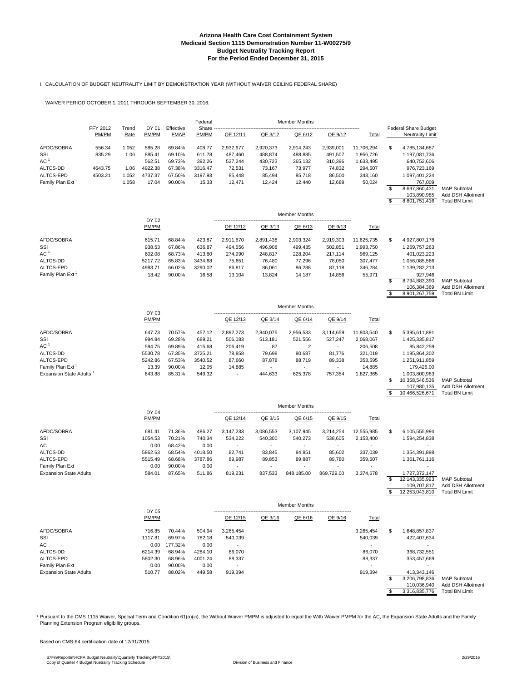#### I. CALCULATION OF BUDGET NEUTRALITY LIMIT BY DEMONSTRATION YEAR (WITHOUT WAIVER CEILING FEDERAL SHARE)

WAIVER PERIOD OCTOBER 1, 2011 THROUGH SEPTEMBER 30, 2016:

|                                     |                   |               |                |                          | Federal        |           |           | <b>Member Months</b> |            |            |    |                                                 |                                            |
|-------------------------------------|-------------------|---------------|----------------|--------------------------|----------------|-----------|-----------|----------------------|------------|------------|----|-------------------------------------------------|--------------------------------------------|
|                                     | FFY 2012<br>PM/PM | Trend<br>Rate | DY 01<br>PM/PM | Effective<br><b>FMAP</b> | Share<br>PM/PM | QE 12/11  | QE 3/12   | QE 6/12              | QE 9/12    | Total      |    | <b>Federal Share Budget</b><br>Neutrality Limit |                                            |
| AFDC/SOBRA                          | 556.34            | 1.052         | 585.28         | 69.84%                   | 408.77         | 2,932,677 | 2,920,373 | 2,914,243            | 2,939,001  | 11,706,294 | S  | 4,785,134,687                                   |                                            |
| SSI                                 | 835.29            | 1.06          | 885.41         | 69.10%                   | 611.78         | 487,460   | 488,874   | 488,885              | 491,507    | 1,956,726  |    | 1,197,081,736                                   |                                            |
| AC 1                                |                   |               | 562.51         | 69.73%                   | 392.26         | 527,244   | 430,723   | 365,132              | 310,396    | 1,633,495  |    | 640,752,606                                     |                                            |
| ALTCS-DD                            | 4643.75           | 1.06          | 4922.38        | 67.38%                   | 3316.47        | 72,531    | 73,167    | 73,977               | 74,832     | 294,507    |    | 976,723,169                                     |                                            |
| ALTCS-EPD                           | 4503.21           | 1.052         | 4737.37        | 67.50%                   | 3197.93        | 85,448    | 85,494    | 85,718               | 86,500     | 343,160    |    | 1,097,401,224                                   |                                            |
| Family Plan Ext                     |                   | 1.058         | 17.04          | 90.00%                   | 15.33          | 12,471    | 12,424    | 12,440               | 12,689     | 50,024     |    | 767,009                                         |                                            |
|                                     |                   |               |                |                          |                |           |           |                      |            |            | \$ | 8,697,860,431                                   | <b>MAP Subtotal</b>                        |
|                                     |                   |               |                |                          |                |           |           |                      |            |            | \$ | 103,890,985                                     | Add DSH Allotment<br><b>Total BN Limit</b> |
|                                     |                   |               |                |                          |                |           |           |                      |            |            |    | 8,801,751,416                                   |                                            |
|                                     |                   |               | DY 02          |                          |                |           |           | <b>Member Months</b> |            |            |    |                                                 |                                            |
|                                     |                   |               | PM/PM          |                          |                | QE 12/12  | QE 3/13   | QE 6/13              | QE 9/13    | Total      |    |                                                 |                                            |
| AFDC/SOBRA                          |                   |               | 615.71         | 68.84%                   | 423.87         | 2,911,670 | 2,891,438 | 2,903,324            | 2,919,303  | 11,625,735 | \$ | 4,927,807,178                                   |                                            |
| SSI                                 |                   |               | 938.53         | 67.86%                   | 636.87         | 494,556   | 496,908   | 499,435              | 502,851    | 1,993,750  |    | 1,269,757,263                                   |                                            |
| AC <sup>1</sup>                     |                   |               | 602.08         | 68.73%                   | 413.80         | 274,990   | 248,817   | 228,204              | 217,114    | 969,125    |    | 401,023,223                                     |                                            |
| ALTCS-DD                            |                   |               | 5217.72        | 65.83%                   | 3434.68        | 75,651    | 76,480    | 77,296               | 78,050     | 307,477    |    | 1,056,085,566                                   |                                            |
| ALTCS-EPD                           |                   |               | 4983.71        | 66.02%                   | 3290.02        | 86,817    | 86,061    | 86,288               | 87,118     | 346,284    |    | 1,139,282,213                                   |                                            |
| Family Plan Ext <sup>1</sup>        |                   |               | 18.42          | 90.00%                   | 16.58          | 13,104    | 13,824    | 14,187               | 14,856     | 55,971     |    | 927,946                                         |                                            |
|                                     |                   |               |                |                          |                |           |           |                      |            |            | \$ | 8,794,883,390                                   | <b>MAP Subtotal</b>                        |
|                                     |                   |               |                |                          |                |           |           |                      |            |            | \$ | 106,384,369<br>8,901,267,759                    | Add DSH Allotment<br><b>Total BN Limit</b> |
|                                     |                   |               |                |                          |                |           |           |                      |            |            |    |                                                 |                                            |
|                                     |                   |               | DY 03          |                          |                |           |           | <b>Member Months</b> |            |            |    |                                                 |                                            |
|                                     |                   |               | PM/PM          |                          |                | QE 12/13  | QE 3/14   | QE 6/14              | QE 9/14    | Total      |    |                                                 |                                            |
| AFDC/SOBRA                          |                   |               | 647.73         | 70.57%                   | 457.12         | 2,892,273 | 2,840,075 | 2,956,533            | 3,114,659  | 11,803,540 | S  | 5,395,611,891                                   |                                            |
| SSI                                 |                   |               | 994.84         | 69.28%                   | 689.21         | 506,083   | 513,181   | 521,556              | 527,247    | 2,068,067  |    | 1,425,335,817                                   |                                            |
| AC <sup>1</sup>                     |                   |               | 594.75         | 69.89%                   | 415.68         | 206,419   | 87        | $\overline{2}$       |            | 206,508    |    | 85,842,259                                      |                                            |
| ALTCS-DD                            |                   |               | 5530.78        | 67.35%                   | 3725.21        | 78,858    | 79,698    | 80,687               | 81,776     | 321,019    |    | 1,195,864,302                                   |                                            |
| ALTCS-EPD                           |                   |               | 5242.86        | 67.53%                   | 3540.52        | 87,660    | 87,878    | 88,719               | 89,338     | 353,595    |    | 1,251,911,859                                   |                                            |
| Family Plan Ext                     |                   |               | 13.39          | 90.00%                   | 12.05          | 14,885    |           |                      |            | 14,885     |    | 179,426.00                                      |                                            |
| Expansion State Adults <sup>1</sup> |                   |               | 643.88         | 85.31%                   | 549.32         |           | 444,633   | 625,378              | 757,354    | 1,827,365  |    | 1,003,800,983                                   |                                            |
|                                     |                   |               |                |                          |                |           |           |                      |            |            | \$ | 10,358,546,536                                  | <b>MAP Subtotal</b>                        |
|                                     |                   |               |                |                          |                |           |           |                      |            |            |    | 107,980,135                                     | Add DSH Allotment                          |
|                                     |                   |               |                |                          |                |           |           |                      |            |            | \$ | 10,466,526,671                                  | <b>Total BN Limit</b>                      |
|                                     |                   |               | DY 04          |                          |                |           |           | <b>Member Months</b> |            |            |    |                                                 |                                            |
|                                     |                   |               | PM/PM          |                          |                | QE 12/14  | QE 3/15   | QE 6/15              | QE 9/15    | Total      |    |                                                 |                                            |
| AFDC/SOBRA                          |                   |               | 681.41         | 71.36%                   | 486.27         | 3,147,233 | 3,086,553 | 3,107,945            | 3,214,254  | 12,555,985 | \$ | 6,105,555,994                                   |                                            |
| SSI                                 |                   |               | 1054.53        | 70.21%                   | 740.34         | 534,222   | 540,300   | 540,273              | 538,605    | 2,153,400  |    | 1,594,254,838                                   |                                            |
| AC                                  |                   |               | 0.00           | 68.42%                   | 0.00           |           |           |                      |            |            |    |                                                 |                                            |
| ALTCS-DD                            |                   |               | 5862.63        | 68.54%                   | 4018.50        | 82,741    | 83,845    | 84,851               | 85,602     | 337,039    |    | 1,354,391,898                                   |                                            |
| ALTCS-EPD                           |                   |               | 5515.49        | 68.68%                   | 3787.86        | 89,987    | 89,853    | 89,887               | 89,780     | 359,507    |    | 1,361,761,116                                   |                                            |
| Family Plan Ext                     |                   |               | 0.00           | 90.00%                   | 0.00           |           |           |                      |            |            |    |                                                 |                                            |
| <b>Expansion State Adults</b>       |                   |               | 584.01         | 87.65%                   | 511.86         | 819,231   | 837,533   | 848,185.00           | 869,729.00 | 3,374,678  |    | 1,727,372,147                                   |                                            |
|                                     |                   |               |                |                          |                |           |           |                      |            |            | \$ | 12,143,335,993                                  | <b>MAP Subtotal</b>                        |
|                                     |                   |               |                |                          |                |           |           |                      |            |            |    | 109,707,817                                     | Add DSH Allotment                          |
|                                     |                   |               |                |                          |                |           |           |                      |            |            | \$ | 12,253,043,810                                  | <b>Total BN Limit</b>                      |
|                                     |                   |               |                |                          |                |           |           | <b>Member Months</b> |            |            |    |                                                 |                                            |
|                                     |                   |               | DY 05<br>PM/PM |                          |                | QE 12/15  | QE 3/16   | QE 6/16              | QE 9/16    | Total      |    |                                                 |                                            |
|                                     |                   |               |                |                          |                |           |           |                      |            |            |    |                                                 |                                            |
| AFDC/SOBRA                          |                   |               | 716.85         | 70.44%                   | 504.94         | 3,265,454 |           |                      |            | 3,265,454  | \$ | 1,648,857,837                                   |                                            |
| SSI                                 |                   |               | 1117.81        | 69.97%                   | 782.18         | 540,039   |           |                      |            | 540,039    |    | 422,407,634                                     |                                            |
| АC                                  |                   |               | 0.00           | 177.32%                  | 0.00           |           |           |                      |            |            |    |                                                 |                                            |
| ALTCS-DD                            |                   |               | 6214.39        | 68.94%                   | 4284.10        | 86,070    |           |                      |            | 86,070     |    | 368,732,551                                     |                                            |
| ALTCS-EPD                           |                   |               | 5802.30        | 68.96%                   | 4001.24        | 88,337    |           |                      |            | 88,337     |    | 353,457,669                                     |                                            |

 $\begin{array}{cccccccc} 0.00 & 90.00\% & 0.00 & 0.00 & 0.00 & 0.00 & 0.00 & 0.00 & 0.00 & 0.00 & 0.00 & 0.00 & 0.00 & 0.00 & 0.00 & 0.00 & 0.00 & 0.00 & 0.00 & 0.00 & 0.00 & 0.00 & 0.00 & 0.00 & 0.00 & 0.00 & 0.00 & 0.00 & 0.00 & 0.00 & 0.00 & 0.00 & 0.00 & 0.00 & 0.00$ Expansion State Adults 610.77 88.02% 449.58 919,394 5 919,394 5 919,394 5 919,394 3,206,798,836 MAP Subtotal 110,036,940 Add DSH Allotment<br>\$3,316,835,776 Total BN Limit

1 Pursuant to the CMS 1115 Waiver, Special Term and Condition 61(a)(iii), the Without Waiver PMPM is adjusted to equal the With Waiver PMPM for the AC, the Expansion State Adults and the Family Planning Extension Program eligibility groups.

Based on CMS-64 certification date of 12/31/2015

ALTCS-EPD 5802.30 68.96% 4001.24<br>
Family Plan Ext 0.00 90.00% 0.00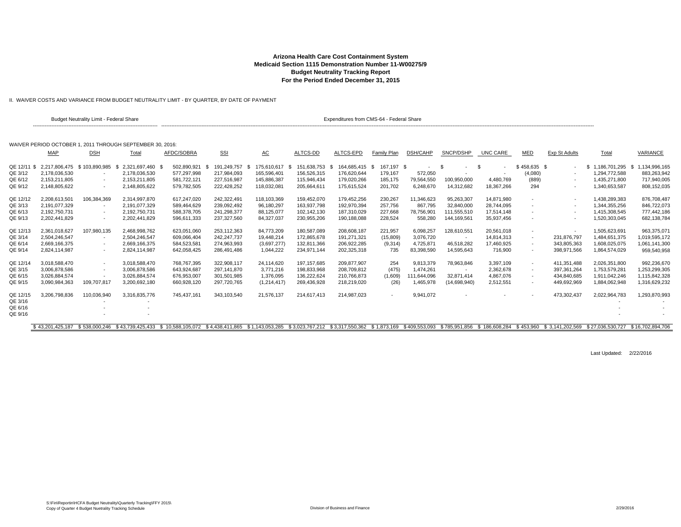II. WAIVER COSTS AND VARIANCE FROM BUDGET NEUTRALITY LIMIT - BY QUARTER, BY DATE OF PAYMENT

|             |                                | <b>Budget Neutrality Limit - Federal Share</b> |                                                           |             |             |                     |                     | Expenditures from CMS-64 - Federal Share |                          |               |                          |               |                          |                      |                  |                  |
|-------------|--------------------------------|------------------------------------------------|-----------------------------------------------------------|-------------|-------------|---------------------|---------------------|------------------------------------------|--------------------------|---------------|--------------------------|---------------|--------------------------|----------------------|------------------|------------------|
|             |                                |                                                | WAIVER PERIOD OCTOBER 1, 2011 THROUGH SEPTEMBER 30, 2016; |             |             |                     |                     |                                          |                          |               |                          |               |                          |                      |                  |                  |
|             | <b>MAP</b>                     | <b>DSH</b>                                     | Total                                                     | AFDC/SOBRA  | <b>SSI</b>  | AC                  | ALTCS-DD            | ALTCS-EPD                                | Family Plan              | DSH/CAHP      | SNCP/DSHP                | UNC CARE      | MED                      | <b>Exp St Adults</b> | Total            | <b>VARIANCE</b>  |
| QE 12/11 \$ |                                | 2,217,806,475 \$103,890,985                    | 2,321,697,460                                             | 502,890,921 | 191.249.757 | 175.610.617<br>- \$ | 151,638,753<br>- 96 | 164,685,415 \$                           | 167,197 \$               |               |                          | \$            | $$458,635$ \$            |                      | 1,186,701,295    | 1,134,996,165    |
| QE 3/12     | 2,178,036,530                  |                                                | 2,178,036,530                                             | 577,297,998 | 217,984,093 | 165,596,401         | 156,526,315         | 176,620,644                              | 179,167                  | 572,050       |                          |               | (4,080)                  |                      | 1,294,772,588    | 883,263,942      |
| QE 6/12     | 2.153.211.805                  |                                                | 2.153.211.805                                             | 581,722,121 | 227,516,987 | 145,886,387         | 115.946.434         | 179,020,266                              | 185,175                  | 79,564,550    | 100,950,000              | 4,480,769     | (889)                    |                      | 1.435.271.800    | 717,940,005      |
| QE 9/12     | 2,148,805,622                  |                                                | 2,148,805,622                                             | 579,782,505 | 222,428,252 | 118,032,081         | 205,664,611         | 175,615,524                              | 201,702                  | 6,248,670     | 14,312,682               | 18,367,266    | 294                      |                      | 1,340,653,587    | 808,152,035      |
| QE 12/12    | 2.208.613.501                  | 106,384,369                                    | 2.314.997.870                                             | 617,247,020 | 242,322,491 | 118,103,369         | 159,452,070         | 179,452,256                              | 230,267                  | 11,346,623    | 95,263,307               | 14.871.980    |                          |                      | 1.438.289.383    | 876,708,487      |
| QE 3/13     | 2.191.077.329                  |                                                | 2,191,077,329                                             | 589,464,629 | 239,092,492 | 96,180,297          | 163,937,798         | 192,970,394                              | 257,756                  | 867,795       | 32,840,000               | 28.744.095    |                          |                      | 1,344,355,256    | 846,722,073      |
| QE 6/13     | 2,192,750,731                  | $\overline{\phantom{a}}$                       | 2,192,750,731                                             | 588,378,705 | 241,298,377 | 88,125,077          | 102,142,130         | 187,310,029                              | 227,668                  | 78,756,901    | 111,555,510              | 17,514,148    |                          |                      | 1,415,308,545    | 777,442,186      |
| QE 9/13     | 2,202,441,829                  | $\overline{\phantom{a}}$                       | 2,202,441,829                                             | 596,611,333 | 237,327,560 | 84,327,037          | 230,955,206         | 190,188,088                              | 228,524                  | 558,280       | 144,169,561              | 35,937,456    |                          |                      | 1,520,303,045    | 682,138,784      |
| QE 12/13    | 2,361,018,627                  | 107,980,135                                    | 2,468,998,762                                             | 623,051,060 | 253,112,363 | 84,773,209          | 180,587,089         | 208,608,187                              | 221,957                  | 6,098,257     | 128,610,55               | 20,561,018    |                          |                      | 1,505,623,691    | 963,375,07       |
| QE 3/14     | 2,504,246,547                  |                                                | 2,504,246,547                                             | 609,066,404 | 242,247,737 | 19,448,214          | 172,865,678         | 191,271,321                              | (15,809)                 | 3,076,720     | $\overline{\phantom{a}}$ | 14,814,313    | $\sim$                   | 231,876,797          | 1.484.651.375    | 1,019,595,172    |
| QE 6/14     | 2.669.166.375                  | . .                                            | 2,669,166,375                                             | 584,523,581 | 274,963,993 | (3,697,277)         | 132.811.366         | 206,922,285                              | (9,314)                  | 4,725,871     | 46,518,282               | 17,460,925    | $\overline{\phantom{a}}$ | 343,805,363          | 1,608,025,075    | 1,061,141,300    |
| QE 9/14     | 2.824.114.987                  | $\overline{a}$                                 | 2.824.114.987                                             | 642.058.425 | 286,491,486 | 1.044.222           | 234.971.144         | 202,325,318                              | 735                      | 83,398,590    | 14.595.643               | 716.900       |                          | 398,971,566          | 1.864.574.029    | 959,540,958      |
| QE 12/14    | 3,018,588,470                  | $\overline{\phantom{a}}$                       | 3,018,588,470                                             | 768,767,395 | 322,908,117 | 24,114,620          | 197, 157, 685       | 209,877,907                              | 254                      | 9,813,379     | 78,963,846               | 3,397,109     | $\overline{\phantom{a}}$ | 411,351,488          | 2,026,351,800    | 992,236,670      |
| QE 3/15     | 3,006,878,586                  |                                                | 3,006,878,586                                             | 643,924,687 | 297,141,870 | 3,771,216           | 198,833,968         | 208,709,812                              | (475)                    | 1,474,261     |                          | 2,362,678     | $\overline{\phantom{a}}$ | 397,361,264          | 1,753,579,281    | 1,253,299,305    |
| QE 6/15     | 3,026,884,574                  |                                                | 3.026.884.574                                             | 676,953,007 | 301,501,985 | 1,376,095           | 136,222,624         | 210,766,873                              | (1,609)                  | 111,644,096   | 32,871,414               | 4,867,076     | $\overline{\phantom{a}}$ | 434,840,685          | 1,911,042,246    | 1,115,842,328    |
| QE 9/15     | 3,090,984,363                  | 109,707,817                                    | 3,200,692,180                                             | 660,928,120 | 297,720,765 | (1,214,417)         | 269,436,928         | 218,219,020                              | (26)                     | 1,465,978     | (14,698,940)             | 2,512,551     |                          | 449,692,969          | 1,884,062,948    | 1,316,629,232    |
| QE 12/15    | 3.206.798.836                  | 110,036,940                                    | 3.316.835.776                                             | 745.437.161 | 343.103.540 | 21.576.137          | 214.617.413         | 214.987.023                              | $\overline{\phantom{a}}$ | 9.941.072     |                          |               |                          | 473.302.437          | 2,022,964,783    | 1,293,870,993    |
| QE 3/16     |                                |                                                |                                                           |             |             |                     |                     |                                          |                          |               |                          |               |                          |                      |                  |                  |
| QE 6/16     |                                |                                                |                                                           |             |             |                     |                     |                                          |                          |               |                          |               |                          |                      |                  |                  |
| QE 9/16     |                                |                                                |                                                           |             |             |                     |                     |                                          |                          |               |                          |               |                          |                      |                  |                  |
|             | \$43.201.425.187 \$538.000.246 |                                                | \$43.739.425.433                                          |             |             | \$1.143.053.285     |                     |                                          |                          | \$409.553.093 | \$785,951,856            | \$186,608,284 | \$453.960                | \$3.141.202.569      | \$27.036.530.727 | \$16,702,894,706 |

Last Updated: 2/22/2016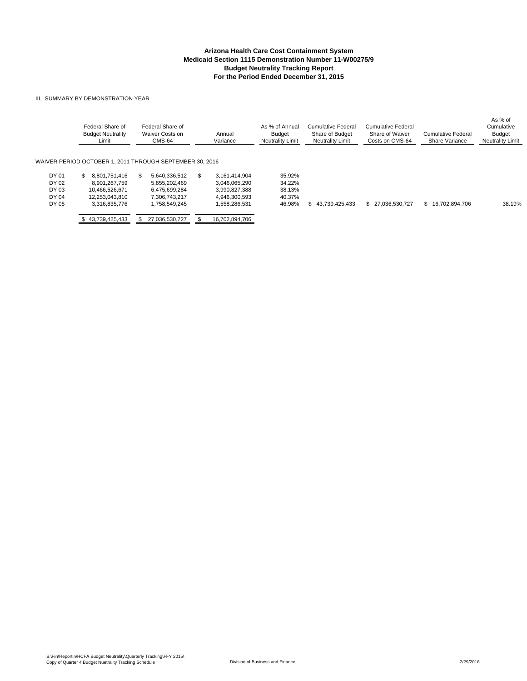#### III. SUMMARY BY DEMONSTRATION YEAR

|                                           | Federal Share of<br><b>Budget Neutrality</b><br>Limit                                      | Federal Share of<br>Waiver Costs on<br>CMS-64                                           | Annual<br>Variance | As % of Annual<br><b>Budget</b><br><b>Neutrality Limit</b>                                                                          | <b>Cumulative Federal</b><br>Share of Budget<br><b>Neutrality Limit</b> | <b>Cumulative Federal</b><br>Share of Waiver<br>Costs on CMS-64 | Cumulative Federal<br><b>Share Variance</b> | As % of<br>Cumulative<br><b>Budget</b><br><b>Neutrality Limit</b> |
|-------------------------------------------|--------------------------------------------------------------------------------------------|-----------------------------------------------------------------------------------------|--------------------|-------------------------------------------------------------------------------------------------------------------------------------|-------------------------------------------------------------------------|-----------------------------------------------------------------|---------------------------------------------|-------------------------------------------------------------------|
|                                           | WAIVER PERIOD OCTOBER 1. 2011 THROUGH SEPTEMBER 30. 2016                                   |                                                                                         |                    |                                                                                                                                     |                                                                         |                                                                 |                                             |                                                                   |
| DY 01<br>DY 02<br>DY 03<br>DY 04<br>DY 05 | 8.801.751.416<br>\$.<br>8.901.267.759<br>10.466.526.671<br>12.253.043.810<br>3.316.835.776 | 5.640.336.512<br>S.<br>5.855.202.469<br>6.475.699.284<br>7.306.743.217<br>1.758.549.245 | \$.                | 3.161.414.904<br>35.92%<br>34.22%<br>3.046.065.290<br>38.13%<br>3.990.827.388<br>40.37%<br>4.946.300.593<br>1,558,286,531<br>46.98% | 43.739.425.433<br>SS.                                                   | \$27.036.530.727                                                | \$16.702.894.706                            | 38.19%                                                            |
|                                           | \$43.739.425.433                                                                           | 27,036,530,727                                                                          |                    | 16,702,894,706                                                                                                                      |                                                                         |                                                                 |                                             |                                                                   |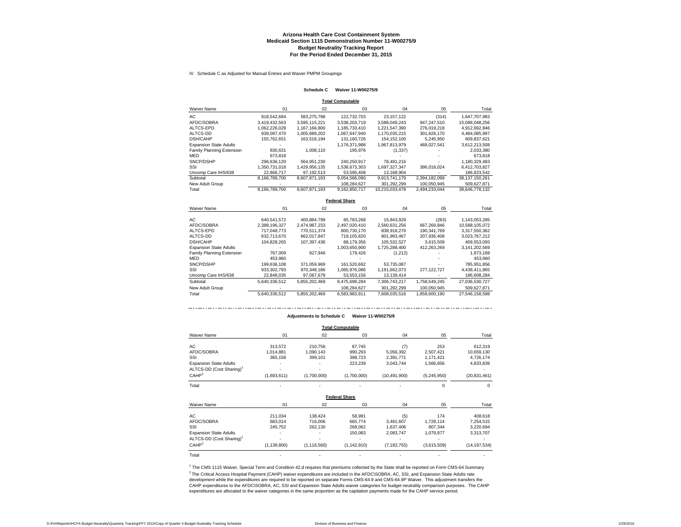IV. Schedule C as Adjusted for Manual Entries and Waiver PMPM Groupings

#### **Schedule C Waiver 11-W00275/9**

**Total Computable**

| <b>Waiver Name</b>            | 01            | 02            | 03            | 04             | 05            | Total          |
|-------------------------------|---------------|---------------|---------------|----------------|---------------|----------------|
| AC                            | 918.542.684   | 583.275.788   | 122.732.703   | 23.157.122     | (314)         | 1.647.707.983  |
| AFDC/SOBRA                    | 3.419.432.563 | 3.595.115.221 | 3.538.203.719 | 3.588.049.243  | 947.247.510   | 15.088.048.256 |
| ALTCS-EPD                     | 1.062.226.028 | 1.167.166.800 | 1.185.733.410 | 1.221.547.390  | 276.019.218   | 4.912.692.846  |
| ALTCS-DD                      | 939.087.470   | 1.005.689.202 | 1.067.647.940 | 1.170.035.215  | 301.626.170   | 4.484.085.997  |
| DSH/CAHP                      | 155.762.651   | 163.516.194   | 131.160.726   | 154.152.100    | 5.245.950     | 609.837.621    |
| <b>Expansion State Adults</b> |               |               | 1.176.371.988 | 1.967.813.979  | 468.027.541   | 3.612.213.508  |
| Family Planning Extension     | 830.631       | 1.008.110     | 195.976       | (1, 337)       |               | 2,033,380      |
| <b>MED</b>                    | 673.818       |               |               |                |               | 673.818        |
| SNCP/DSHP                     | 296.636.120   | 564.951.230   | 240.250.917   | 78.491.216     | ٠             | 1.180.329.483  |
| SSI                           | 1.350.731.018 | 1.429.956.135 | 1.538.673.303 | 1.697.327.347  | 396.016.024   | 6.412.703.827  |
| Uncomp Care IHS/638           | 22.866.717    | 97.192.513    | 53.595.408    | 13.168.904     |               | 186,823,542    |
| Subtotal                      | 8.166.789.700 | 8.607.871.193 | 9.054.566.090 | 9.913.741.179  | 2.394.182.099 | 38.137.150.261 |
| New Adult Group               |               |               | 108.284.627   | 301.292.299    | 100.050.945   | 509.627.871    |
| Total                         | 8.166.789.700 | 8,607,871,193 | 9.162.850.717 | 10.215.033.478 | 2.494.233.044 | 38,646,778,132 |

**Federal Share**

| <b>Waiver Name</b>            | 01            | 02            | 03            | 04            | 05            | Total          |
|-------------------------------|---------------|---------------|---------------|---------------|---------------|----------------|
| AC                            | 640.541.572   | 400.884.799   | 85,783,268    | 15.843.929    | (283)         | 1,143,053,285  |
| AFDC/SOBRA                    | 2.388.196.327 | 2.474.987.233 | 2.497.020.410 | 2.560.631.256 | 667.269.846   | 10.588.105.072 |
| ALTCS-EPD                     | 717.048.773   | 770.511.374   | 800.730.170   | 838,918,276   | 190.341.769   | 3,317,550,362  |
| ALTCS-DD                      | 632.713.670   | 662.017.847   | 719.105.820   | 801.993.467   | 207.936.408   | 3.023.767.212  |
| <b>DSH/CAHP</b>               | 104.828.265   | 107.397.436   | 88.179.356    | 105.532.527   | 3.615.509     | 409.553.093    |
| <b>Expansion State Adults</b> |               |               | 1.003.650.900 | 1,725,288,400 | 412.263.269   | 3,141,202,569  |
| Family Planning Extension     | 767.009       | 927.946       | 179.426       | (1,212)       |               | 1,873,169      |
| <b>MED</b>                    | 453.960       |               |               |               |               | 453.960        |
| SNCP/DSHP                     | 199.636.108   | 371.059.969   | 161.520.692   | 53.735.087    |               | 785.951.856    |
| SSI                           | 933.302.793   | 970.348.186   | 1.065.976.086 | 1.191.662.073 | 277.122.727   | 4,438,411,865  |
| Uncomp Care IHS/638           | 22.848.035    | 97.067.679    | 53.553.156    | 13.139.414    |               | 186.608.284    |
| Subtotal                      | 5.640.336.512 | 5.855.202.469 | 6.475.699.284 | 7.306.743.217 | 1.758.549.245 | 27.036.530.727 |
| New Adult Group               |               |               | 108.284.627   | 301.292.299   | 100.050.945   | 509.627.871    |
| Total                         | 5.640.336.512 | 5.855.202.469 | 6.583.983.911 | 7.608.035.516 | 1.858.600.190 | 27.546.158.598 |

#### **Adjustments to Schedule C Waiver 11-W00275/9**

|                                      |               |               | <b>Total Computable</b> |                |             |                |
|--------------------------------------|---------------|---------------|-------------------------|----------------|-------------|----------------|
| Waiver Name                          | 01            | 02            | 03                      | 04             | 05          | Total          |
| AС                                   | 313,572       | 210,756       | 87,745                  | (7)            | 253         | 612,319        |
| AFDC/SOBRA                           | 1,014,881     | 1,090,143     | 990,293                 | 5,056,392      | 2,507,421   | 10,659,130     |
| SSI                                  | 365,158       | 399,101       | 398,723                 | 2,391,771      | 1,171,421   | 4,726,174      |
| Expansion State Adults               |               |               | 223,239                 | 3,043,744      | 1,566,856   | 4,833,839      |
| ALTCS-DD (Cost Sharing) <sup>1</sup> |               |               |                         |                |             |                |
| CAHP <sup>2</sup>                    | (1,693,611)   | (1,700,000)   | (1,700,000)             | (10, 491, 900) | (5,245,950) | (20, 831, 461) |
| Total                                |               |               |                         |                | $\Omega$    | 0              |
|                                      |               |               | <b>Federal Share</b>    |                |             |                |
| Waiver Name                          | 01            | 02            | 03                      | 04             | 05          | Total          |
| AС                                   | 211,034       | 138,424       | 58,991                  | (5)            | 174         | 408,618        |
| AFDC/SOBRA                           | 683,014       | 716,006       | 665,774                 | 3,461,607      | 1,728,114   | 7,254,515      |
| SSI                                  | 245,752       | 262,130       | 268,062                 | 1,637,406      | 807,344     | 3,220,694      |
| <b>Expansion State Adults</b>        |               |               | 150,083                 | 2,083,747      | 1,079,877   | 3,313,707      |
| ALTCS-DD (Cost Sharing) <sup>1</sup> |               |               |                         |                |             |                |
| CAHP <sup>2</sup>                    | (1, 139, 800) | (1, 116, 560) | (1, 142, 910)           | (7, 182, 755)  | (3,615,509) | (14, 197, 534) |
| Total                                |               |               |                         |                |             |                |

<sup>2</sup> The Critical Access Hospital Payment (CAHP) waiver expenditures are included in the AFDC\SOBRA, AC, SSI, and Expansion State Adults rate development while the expenditures are required to be reported on separate Forms CMS-64.9 and CMS-64.9P Waiver. This adjustment transfers the CAHP expenditures to the AFDC\SOBRA, AC, SSI and Expansion State Adults waiver categories for budget neutrality comparison purposes. The CAHP expenditures are allocated to the waiver categories in the same proportion as the capitation payments made for the CAHP service period. <sup>1</sup> The CMS 1115 Waiver, Special Term and Condition 42,d requires that premiums collected by the State shall be reported on Form CMS-64 Summary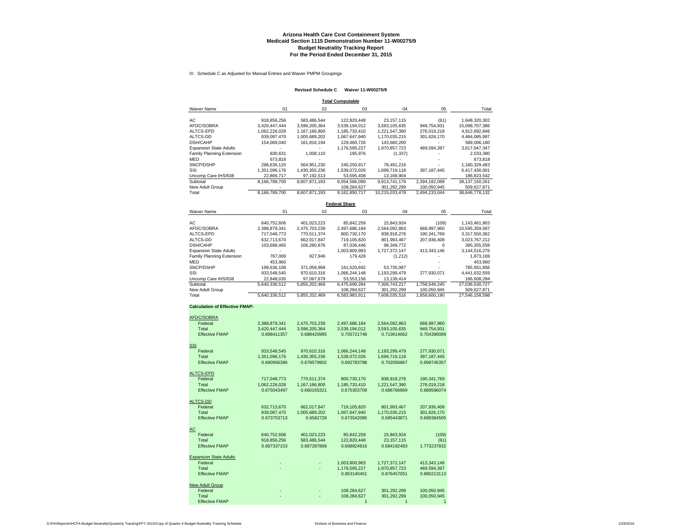IV. Schedule C as Adjusted for Manual Entries and Waiver PMPM Groupings

#### **Revised Schedule C Waiver 11-W00275/9**

**Total Computable**

| Waiver Name                      | 01            | 02            | 03            | 04             | 05            | Total          |
|----------------------------------|---------------|---------------|---------------|----------------|---------------|----------------|
| АC                               | 918.856.256   | 583.486.544   | 122.820.448   | 23.157.115     | (61)          | 1,648,320,302  |
| AFDC/SOBRA                       | 3.420.447.444 | 3.596.205.364 | 3.539.194.012 | 3.593.105.635  | 949.754.931   | 15.098.707.386 |
| ALTCS-EPD                        | 1.062.226.028 | 1.167.166.800 | 1.185.733.410 | 1.221.547.390  | 276.019.218   | 4,912,692,846  |
| ALTCS-DD                         | 939,087,470   | 1,005,689,202 | 1,067,647,940 | 1,170,035,215  | 301,626,170   | 4,484,085,997  |
| <b>DSH/CAHP</b>                  | 154.069.040   | 161.816.194   | 129.460.726   | 143.660.200    |               | 589.006.160    |
| <b>Expansion State Adults</b>    |               |               | 1.176.595.227 | 1.970.857.723  | 469.594.397   | 3.617.047.347  |
| <b>Family Planning Extension</b> | 830,631       | 1.008.110     | 195.976       | (1, 337)       |               | 2,033,380      |
| MED                              | 673.818       |               |               |                |               | 673.818        |
| SNCP/DSHP                        | 296.636.120   | 564.951.230   | 240.250.917   | 78.491.216     |               | 1.180.329.483  |
| SSI                              | 1.351.096.176 | 1,430,355,236 | 1.539.072.026 | 1,699,719,118  | 397, 187, 445 | 6,417,430,001  |
| Uncomp Care IHS/638              | 22.866.717    | 97.192.513    | 53.595.408    | 13.168.904     |               | 186,823,542    |
| Subtotal                         | 8.166.789.700 | 8.607.871.193 | 9.054.566.090 | 9.913.741.179  | 2,394,182,099 | 38.137.150.261 |
| New Adult Group                  |               |               | 108.284.627   | 301.292.299    | 100.050.945   | 509.627.871    |
| Total                            | 8.166.789.700 | 8.607.871.193 | 9.162.850.717 | 10.215.033.478 | 2.494.233.044 | 38.646.778.132 |

**Federal Share**

| Waiver Name                   | 01            | 02            | 03            | 04            | 05            | Total          |
|-------------------------------|---------------|---------------|---------------|---------------|---------------|----------------|
| AС                            | 640.752.606   | 401.023.223   | 85.842.259    | 15.843.924    | (109)         | 1,143,461,903  |
| AFDC/SOBRA                    | 2.388.879.341 | 2,475,703,239 | 2.497.686.184 | 2,564,092,863 | 668,997,960   | 10,595,359,587 |
| ALTCS-EPD                     | 717.048.773   | 770.511.374   | 800.730.170   | 838.918.276   | 190.341.769   | 3.317.550.362  |
| ALTCS-DD                      | 632.713.670   | 662.017.847   | 719.105.820   | 801.993.467   | 207.936.408   | 3,023,767,212  |
| DSH/CAHP                      | 103.688.465   | 106,280,876   | 87.036.446    | 98.349.772    | $\Omega$      | 395,355,559    |
| <b>Expansion State Adults</b> |               |               | 1.003.800.983 | 1,727,372,147 | 413.343.146   | 3,144,516,276  |
| Family Planning Extension     | 767.009       | 927.946       | 179.426       | (1,212)       |               | 1.873.169      |
| MED                           | 453.960       |               |               |               |               | 453.960        |
| SNCP/DSHP                     | 199.636.108   | 371,059,969   | 161,520,692   | 53.735.087    |               | 785,951,856    |
| SSI                           | 933.548.545   | 970.610.316   | 1.066.244.148 | 1.193.299.479 | 277.930.071   | 4.441.632.559  |
| Uncomp Care IHS/638           | 22,848,035    | 97.067.679    | 53,553,156    | 13.139.414    |               | 186,608,284    |
| Subtotal                      | 5.640.336.512 | 5.855.202.469 | 6.475.699.284 | 7.306.743.217 | 1.758.549.245 | 27.036.530.727 |
| New Adult Group               |               |               | 108,284,627   | 301,292,299   | 100,050,945   | 509,627,871    |
| Total                         | 5.640.336.512 | 5.855.202.469 | 6.583.983.911 | 7.608.035.516 | 1.858.600.190 | 27.546.158.598 |

#### **Calculation of Effective FMAP:**

| AFDC/SOBRA             |               |               |               |               |               |
|------------------------|---------------|---------------|---------------|---------------|---------------|
| Federal                | 2,388,879,341 | 2,475,703,239 | 2,497,686,184 | 2,564,092,863 | 668,997,960   |
| Total                  | 3,420,447,444 | 3,596,205,364 | 3,539,194,012 | 3,593,105,635 | 949,754,931   |
| <b>Effective FMAP</b>  | 0.698411357   | 0.688420985   | 0.705721748   | 0.713614662   | 0.704390089   |
|                        |               |               |               |               |               |
| SSI                    |               |               |               |               |               |
| Federal                | 933,548,545   | 970,610,316   | 1,066,244,148 | 1,193,299,479 | 277,930,071   |
| Total                  | 1,351,096,176 | 1,430,355,236 | 1,539,072,026 | 1,699,719,118 | 397, 187, 445 |
| <b>Effective FMAP</b>  | 0.690956396   | 0.678579902   | 0.692783788   | 0.702056867   | 0.699745357   |
| ALTCS-EPD              |               |               |               |               |               |
| Federal                | 717,048,773   | 770,511,374   | 800,730,170   | 838,918,276   | 190,341,769   |
| Total                  | 1,062,226,028 | 1,167,166,800 | 1,185,733,410 | 1,221,547,390 | 276,019,218   |
| <b>Effective FMAP</b>  | 0.675043497   | 0.660155321   | 0.675303709   | 0.686766869   | 0.689596074   |
|                        |               |               |               |               |               |
| ALTCS-DD               |               |               |               |               |               |
| Federal                | 632,713,670   | 662,017,847   | 719,105,820   | 801,993,467   | 207,936,408   |
| Total                  | 939,087,470   | 1,005,689,202 | 1,067,647,940 | 1,170,035,215 | 301,626,170   |
| <b>Effective FMAP</b>  | 0.673753713   | 0.6582728     | 0.673542085   | 0.685443871   | 0.689384505   |
| AС                     |               |               |               |               |               |
| Federal                | 640,752,606   | 401,023,223   | 85,842,259    | 15,843,924    | (109)         |
| Total                  | 918.856.256   | 583,486,544   | 122,820,448   | 23.157.115    | (61)          |
| <b>Effective FMAP</b>  | 0.697337153   | 0.687287868   | 0.698924816   | 0.684192483   | 1.773237832   |
|                        |               |               |               |               |               |
| Expansion State Adults |               |               |               |               |               |
| Federal                |               |               | 1,003,800,983 | 1,727,372,147 | 413,343,146   |
| Total                  |               |               | 1,176,595,227 | 1,970,857,723 | 469,594,397   |
| <b>Effective FMAP</b>  |               |               | 0.853140451   | 0.876457051   | 0.880213113   |
| New Adult Group        |               |               |               |               |               |
| Federal                |               |               | 108,284,627   | 301,292,299   | 100,050,945   |
| Total                  |               |               | 108,284,627   | 301,292,299   | 100,050,945   |
| Effective FMAP         |               |               |               |               |               |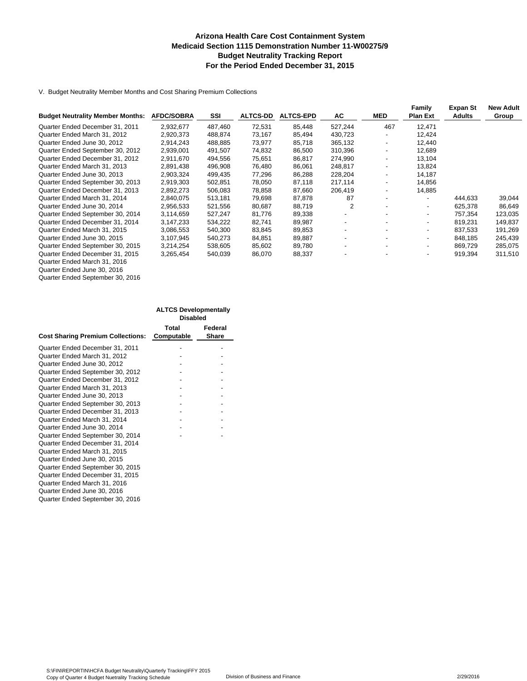#### **Arizona Health Care Cost Containment System Medicaid Section 1115 Demonstration Number 11-W00275/9 Budget Neutrality Tracking Report For the Period Ended December 31, 2015**

V. Budget Neutrality Member Months and Cost Sharing Premium Collections

|                                         |                   |         |                 |                  |                          |            | Family                   | Expan St      | <b>New Adult</b> |
|-----------------------------------------|-------------------|---------|-----------------|------------------|--------------------------|------------|--------------------------|---------------|------------------|
| <b>Budget Neutrality Member Months:</b> | <b>AFDC/SOBRA</b> | SSI     | <b>ALTCS-DD</b> | <b>ALTCS-EPD</b> | AC                       | <b>MED</b> | <b>Plan Ext</b>          | <b>Adults</b> | Group            |
| Quarter Ended December 31, 2011         | 2,932,677         | 487,460 | 72,531          | 85,448           | 527,244                  | 467        | 12,471                   |               |                  |
| Quarter Ended March 31, 2012            | 2,920,373         | 488,874 | 73,167          | 85,494           | 430,723                  |            | 12,424                   |               |                  |
| Quarter Ended June 30, 2012             | 2,914,243         | 488,885 | 73,977          | 85,718           | 365,132                  |            | 12,440                   |               |                  |
| Quarter Ended September 30, 2012        | 2,939,001         | 491,507 | 74,832          | 86,500           | 310,396                  |            | 12,689                   |               |                  |
| Quarter Ended December 31, 2012         | 2.911.670         | 494,556 | 75,651          | 86,817           | 274,990                  |            | 13.104                   |               |                  |
| Quarter Ended March 31, 2013            | 2,891,438         | 496,908 | 76,480          | 86,061           | 248,817                  |            | 13,824                   |               |                  |
| Quarter Ended June 30, 2013             | 2.903.324         | 499.435 | 77,296          | 86,288           | 228,204                  |            | 14.187                   |               |                  |
| Quarter Ended September 30, 2013        | 2,919,303         | 502,851 | 78,050          | 87,118           | 217,114                  |            | 14,856                   |               |                  |
| Quarter Ended December 31, 2013         | 2,892,273         | 506,083 | 78,858          | 87,660           | 206,419                  |            | 14,885                   |               |                  |
| Quarter Ended March 31, 2014            | 2,840,075         | 513,181 | 79,698          | 87,878           | 87                       |            |                          | 444.633       | 39,044           |
| Quarter Ended June 30, 2014             | 2,956,533         | 521,556 | 80,687          | 88,719           | 2                        |            | $\overline{\phantom{0}}$ | 625,378       | 86,649           |
| Quarter Ended September 30, 2014        | 3,114,659         | 527,247 | 81,776          | 89,338           |                          |            |                          | 757.354       | 123,035          |
| Quarter Ended December 31, 2014         | 3,147,233         | 534,222 | 82,741          | 89,987           |                          |            |                          | 819,231       | 149,837          |
| Quarter Ended March 31, 2015            | 3,086,553         | 540,300 | 83,845          | 89,853           |                          |            |                          | 837,533       | 191,269          |
| Quarter Ended June 30, 2015             | 3,107,945         | 540,273 | 84,851          | 89,887           | $\overline{\phantom{a}}$ |            |                          | 848,185       | 245,439          |
| Quarter Ended September 30, 2015        | 3,214,254         | 538,605 | 85,602          | 89,780           | $\overline{\phantom{a}}$ |            | $\overline{\phantom{0}}$ | 869.729       | 285,075          |
| Quarter Ended December 31, 2015         | 3,265,454         | 540,039 | 86,070          | 88,337           |                          |            |                          | 919,394       | 311,510          |
| Quarter Ended March 31, 2016            |                   |         |                 |                  |                          |            |                          |               |                  |
|                                         |                   |         |                 |                  |                          |            |                          |               |                  |

Quarter Ended June 30, 2016 Quarter Ended September 30, 2016

|                                          | <b>ALTCS Developmentally</b> |              |
|------------------------------------------|------------------------------|--------------|
|                                          | <b>Disabled</b>              |              |
|                                          | Total                        | Federal      |
| <b>Cost Sharing Premium Collections:</b> | Computable                   | <b>Share</b> |
| Quarter Ended December 31, 2011          |                              |              |
| Quarter Ended March 31, 2012             |                              |              |
| Quarter Ended June 30, 2012              |                              |              |
| Quarter Ended September 30, 2012         |                              |              |
| Quarter Ended December 31, 2012          |                              |              |
| Quarter Ended March 31, 2013             |                              |              |
| Quarter Ended June 30, 2013              |                              |              |
| Quarter Ended September 30, 2013         |                              |              |
| Quarter Ended December 31, 2013          |                              |              |
| Quarter Ended March 31, 2014             |                              |              |
| Quarter Ended June 30, 2014              |                              |              |
| Quarter Ended September 30, 2014         |                              |              |
| Quarter Ended December 31, 2014          |                              |              |
| Quarter Ended March 31, 2015             |                              |              |
| Quarter Ended June 30, 2015              |                              |              |
| Quarter Ended September 30, 2015         |                              |              |
| Quarter Ended December 31, 2015          |                              |              |
| Quarter Ended March 31, 2016             |                              |              |
| Quarter Ended June 30, 2016              |                              |              |
| Quarter Ended September 30, 2016         |                              |              |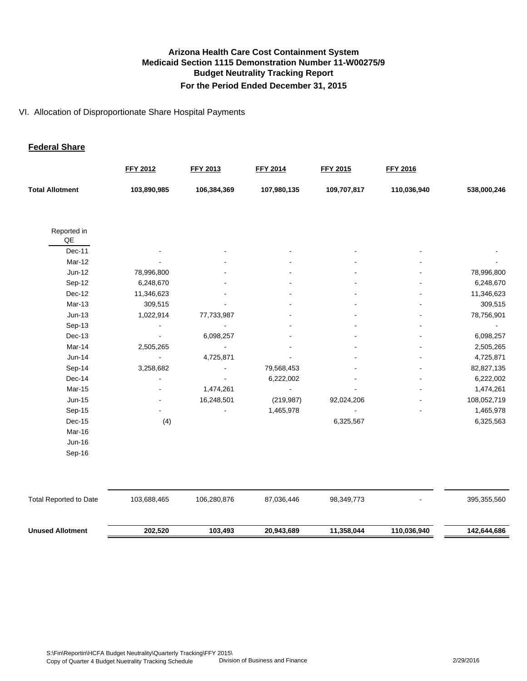#### VI. Allocation of Disproportionate Share Hospital Payments

#### **Federal Share**

|                               | <b>FFY 2012</b> | FFY 2013    | <b>FFY 2014</b> | <b>FFY 2015</b> | <b>FFY 2016</b> |             |
|-------------------------------|-----------------|-------------|-----------------|-----------------|-----------------|-------------|
| <b>Total Allotment</b>        | 103,890,985     | 106,384,369 | 107,980,135     | 109,707,817     | 110,036,940     | 538,000,246 |
| Reported in                   |                 |             |                 |                 |                 |             |
| QE                            |                 |             |                 |                 |                 |             |
| Dec-11                        |                 |             |                 |                 |                 |             |
| Mar-12                        |                 |             |                 |                 |                 |             |
| $Jun-12$                      | 78,996,800      |             |                 |                 |                 | 78,996,800  |
| Sep-12                        | 6,248,670       |             |                 |                 |                 | 6,248,670   |
| Dec-12                        | 11,346,623      |             |                 |                 |                 | 11,346,623  |
| Mar-13                        | 309,515         |             |                 |                 |                 | 309,515     |
| $Jun-13$                      | 1,022,914       | 77,733,987  |                 |                 |                 | 78,756,901  |
| Sep-13                        |                 |             |                 |                 |                 |             |
| Dec-13                        |                 | 6,098,257   |                 |                 |                 | 6,098,257   |
| Mar-14                        | 2,505,265       |             |                 |                 |                 | 2,505,265   |
| $Jun-14$                      |                 | 4,725,871   |                 |                 |                 | 4,725,871   |
| Sep-14                        | 3,258,682       |             | 79,568,453      |                 |                 | 82,827,135  |
| Dec-14                        |                 |             | 6,222,002       |                 |                 | 6,222,002   |
| Mar-15                        |                 | 1,474,261   | ä,              |                 |                 | 1,474,261   |
| Jun-15                        |                 | 16,248,501  | (219, 987)      | 92,024,206      |                 | 108,052,719 |
| Sep-15                        |                 |             | 1,465,978       |                 |                 | 1,465,978   |
| Dec-15                        | (4)             |             |                 | 6,325,567       |                 | 6,325,563   |
| Mar-16                        |                 |             |                 |                 |                 |             |
| Jun-16                        |                 |             |                 |                 |                 |             |
| Sep-16                        |                 |             |                 |                 |                 |             |
|                               |                 |             |                 |                 |                 |             |
| <b>Total Reported to Date</b> | 103,688,465     | 106,280,876 | 87,036,446      | 98,349,773      |                 | 395,355,560 |
| <b>Unused Allotment</b>       | 202,520         | 103,493     | 20,943,689      | 11,358,044      | 110,036,940     | 142,644,686 |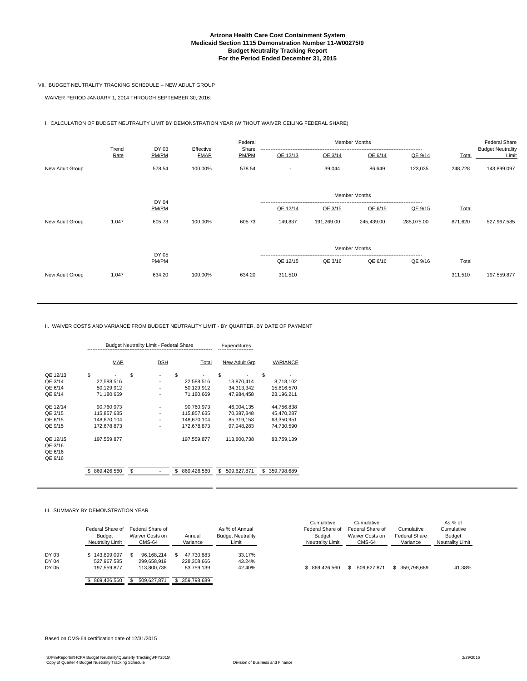#### **Arizona Health Care Cost Containment System Medicaid Section 1115 Demonstration Number 11-W00275/9 Budget Neutrality Tracking Report For the Period Ended December 31, 2015**

#### VII. BUDGET NEUTRALITY TRACKING SCHEDULE -- NEW ADULT GROUP

WAIVER PERIOD JANUARY 1, 2014 THROUGH SEPTEMBER 30, 2016:

I. CALCULATION OF BUDGET NEUTRALITY LIMIT BY DEMONSTRATION YEAR (WITHOUT WAIVER CEILING FEDERAL SHARE)

| Trend           |       | DY 03          | Effective   | Federal<br>Share | <b>Member Months</b> |            |                      |            |         | <b>Federal Share</b><br><b>Budget Neutrality</b> |
|-----------------|-------|----------------|-------------|------------------|----------------------|------------|----------------------|------------|---------|--------------------------------------------------|
|                 | Rate  | PM/PM          | <b>FMAP</b> | PM/PM            | QE 12/13             | QE 3/14    | QE 6/14              | QE 9/14    | Total   | Limit                                            |
| New Adult Group |       | 578.54         | 100.00%     | 578.54           |                      | 39,044     | 86,649               | 123,035    | 248,728 | 143,899,097                                      |
|                 |       |                |             |                  |                      |            |                      |            |         |                                                  |
|                 |       | DY 04          |             |                  |                      |            | <b>Member Months</b> |            |         |                                                  |
|                 |       | PM/PM          |             |                  | QE 12/14             | QE 3/15    | QE 6/15              | QE 9/15    | Total   |                                                  |
| New Adult Group | 1.047 | 605.73         | 100.00%     | 605.73           | 149,837              | 191,269.00 | 245,439.00           | 285,075.00 | 871,620 | 527,967,585                                      |
|                 |       |                |             |                  |                      |            | <b>Member Months</b> |            |         |                                                  |
|                 |       | DY 05<br>PM/PM |             |                  | QE 12/15             | QE 3/16    | QE 6/16              | QE 9/16    | Total   |                                                  |
| New Adult Group | 1.047 | 634.20         | 100.00%     | 634.20           | 311,510              |            |                      |            | 311,510 | 197,559,877                                      |
|                 |       |                |             |                  |                      |            |                      |            |         |                                                  |

II. WAIVER COSTS AND VARIANCE FROM BUDGET NEUTRALITY LIMIT - BY QUARTER, BY DATE OF PAYMENT

|                                           |                                                         | <b>Budget Neutrality Limit - Federal Share</b> |            |                   | Expenditures                             |                                                      |                                                      |
|-------------------------------------------|---------------------------------------------------------|------------------------------------------------|------------|-------------------|------------------------------------------|------------------------------------------------------|------------------------------------------------------|
|                                           | MAP                                                     |                                                | <b>DSH</b> |                   | Total                                    | New Adult Grp                                        | VARIANCE                                             |
| QE 12/13<br>QE 3/14<br>QE 6/14<br>QE 9/14 | S<br>22,588,516<br>50,129,912<br>71,180,669             | S                                              |            | \$                | 22,588,516<br>50,129,912<br>71,180,669   | S<br>13,870,414<br>34,313,342<br>47,984,458          | \$<br>8,718,102<br>15,816,570<br>23,196,211          |
| QE 12/14<br>QE 3/15<br>QE 6/15<br>QE 9/15 | 90,760,973<br>115,857,635<br>148.670.104<br>172.678.873 |                                                |            | 172.678.873       | 90,760,973<br>115,857,635<br>148.670.104 | 46,004,135<br>70,387,348<br>85,319,153<br>97,948,283 | 44,756,838<br>45,470,287<br>63,350,951<br>74.730.590 |
| QE 12/15<br>QE 3/16<br>QE 6/16<br>QE 9/16 | 197,559,877                                             |                                                |            | 197,559,877       |                                          | 113,800,738                                          | 83,759,139                                           |
|                                           | 869,426,560<br>S                                        | \$                                             |            | 869,426,560<br>\$ |                                          | S<br>509,627,871                                     | \$<br>359,798,689                                    |

III. SUMMARY BY DEMONSTRATION YEAR

|                         | Federal Share of<br><b>Budget</b><br><b>Neutrality Limit</b> | Federal Share of<br>Waiver Costs on<br><b>CMS-64</b> | Annual<br>Variance                      | As % of Annual<br><b>Budget Neutrality</b><br>Limit | Cumulative<br>Federal Share of<br>Budget<br><b>Neutrality Limit</b> | Cumulative<br>Federal Share of<br>Waiver Costs on<br><b>CMS-64</b> | Cumulative<br>Federal Share<br>Variance | As % of<br>Cumulative<br><b>Budget</b><br><b>Neutrality Limit</b> |
|-------------------------|--------------------------------------------------------------|------------------------------------------------------|-----------------------------------------|-----------------------------------------------------|---------------------------------------------------------------------|--------------------------------------------------------------------|-----------------------------------------|-------------------------------------------------------------------|
| DY 03<br>DY 04<br>DY 05 | \$143,899,097<br>527.967.585<br>197.559.877                  | 96.168.214<br>299.658.919<br>113,800.738             | 47.730.883<br>228.308.666<br>83.759.139 | 33.17%<br>43.24%<br>42.40%                          | \$869,426,560                                                       | 509.627.871                                                        | \$359,798,689                           | 41.38%                                                            |
|                         | \$869,426,560                                                | 509,627,871                                          | 359,798,689                             |                                                     |                                                                     |                                                                    |                                         |                                                                   |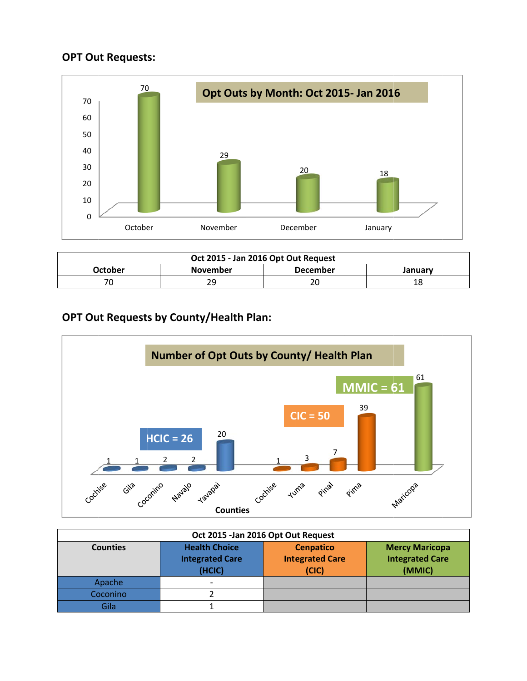# **OPT** Out Requests:



| Oct 2015 - Jan 2016 Opt Out Request |                 |                 |         |
|-------------------------------------|-----------------|-----------------|---------|
| October                             | <b>November</b> | <b>December</b> | Januarv |
|                                     | 29              | nr<br>∠∪        | 18      |

# **OPT Ou ut Request s by Count ty/Health Plan:**



| Oct 2015 - Jan 2016 Opt Out Request |                                                          |                                                     |                                                           |
|-------------------------------------|----------------------------------------------------------|-----------------------------------------------------|-----------------------------------------------------------|
| <b>Counties</b>                     | <b>Health Choice</b><br><b>Integrated Care</b><br>(HCIC) | <b>Cenpatico</b><br><b>Integrated Care</b><br>(CIC) | <b>Mercy Maricopa</b><br><b>Integrated Care</b><br>(MMIC) |
| Apache                              |                                                          |                                                     |                                                           |
| Coconino                            |                                                          |                                                     |                                                           |
| Gila                                |                                                          |                                                     |                                                           |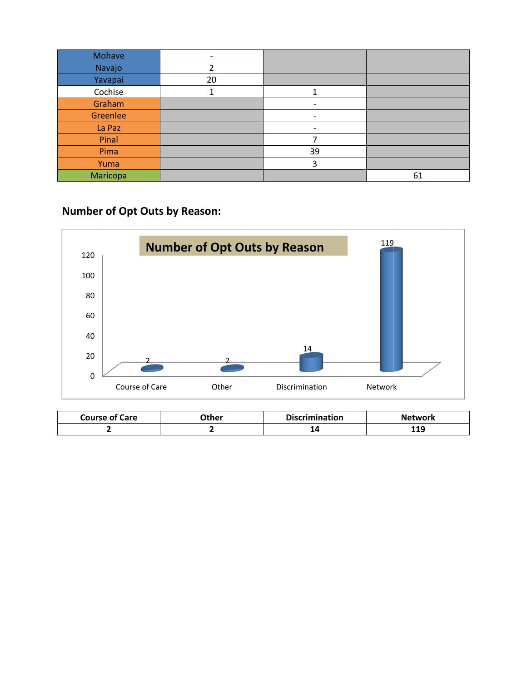| Mohave   |    |                          |    |
|----------|----|--------------------------|----|
| Navajo   |    |                          |    |
| Yavapai  | 20 |                          |    |
| Cochise  |    |                          |    |
| Graham   |    |                          |    |
| Greenlee |    | $\overline{\phantom{a}}$ |    |
| La Paz   |    | $\overline{\phantom{a}}$ |    |
| Pinal    |    | ⇁                        |    |
| Pima     |    | 39                       |    |
| Yuma     |    | 3                        |    |
| Maricopa |    |                          | 61 |

# **Number of Opt Outs by Reason:**



| <b>Course of Care</b> | )ther | <b>Discrimination</b> | <b>Network</b> |
|-----------------------|-------|-----------------------|----------------|
|                       |       | - 15                  | 1 1 0<br>113   |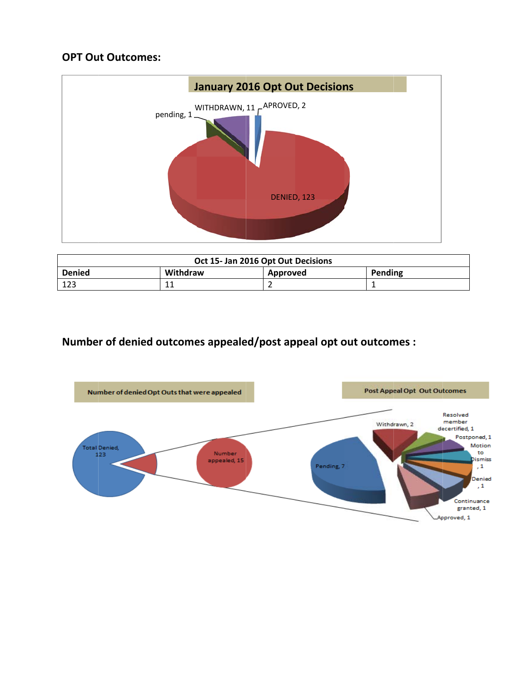# **OPT** Out Outcomes:



| Oct 15- Jan 2016 Opt Out Decisions |          |          |         |
|------------------------------------|----------|----------|---------|
| <b>Denied</b>                      | Withdraw | Approved | Pending |
| 123                                | 11       |          |         |

# **Number of denied outcomes appealed/post appeal opt out outcomes :**